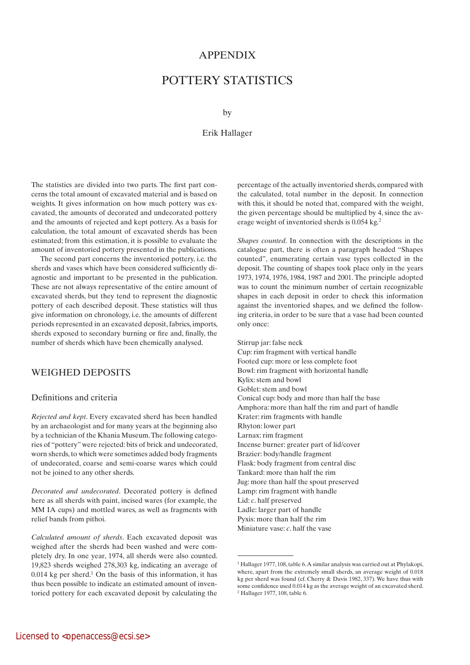### **APPENDIX**

# POTTERY STATISTICS

by

#### Erik Hallager

The statistics are divided into two parts. The first part concerns the total amount of excavated material and is based on weights. It gives information on how much pottery was excavated, the amounts of decorated and undecorated pottery and the amounts of rejected and kept pottery. As a basis for calculation, the total amount of excavated sherds has been estimated; from this estimation, it is possible to evaluate the amount of inventoried pottery presented in the publications.

The second part concerns the inventoried pottery, i.e. the sherds and vases which have been considered sufficiently diagnostic and important to be presented in the publication. These are not always representative of the entire amount of excavated sherds, but they tend to represent the diagnostic pottery of each described deposit. These statistics will thus give information on chronology, i.e. the amounts of different periods represented in an excavated deposit, fabrics, imports, sherds exposed to secondary burning or fire and, finally, the number of sherds which have been chemically analysed.

### WEIGHED DEPOSITS

#### Definitions and criteria

*Rejected and kept*. Every excavated sherd has been handled by an archaeologist and for many years at the beginning also by a technician of the Khania Museum. The following categories of "pottery" were rejected: bits of brick and undecorated, worn sherds, to which were sometimes added body fragments of undecorated, coarse and semi-coarse wares which could not be joined to any other sherds.

*Decorated and undecorated*. Decorated pottery is defined here as all sherds with paint, incised wares (for example, the MM IA cups) and mottled wares, as well as fragments with relief bands from pithoi.

*Calculated amount of sherds*. Each excavated deposit was weighed after the sherds had been washed and were completely dry. In one year, 1974, all sherds were also counted. 19,823 sherds weighed 278,303 kg, indicating an average of  $0.014$  kg per sherd.<sup>1</sup> On the basis of this information, it has thus been possible to indicate an estimated amount of inventoried pottery for each excavated deposit by calculating the percentage of the actually inventoried sherds, compared with the calculated, total number in the deposit. In connection with this, it should be noted that, compared with the weight, the given percentage should be multiplied by 4, since the average weight of inventoried sherds is 0.054 kg.2

*Shapes counted*. In connection with the descriptions in the catalogue part, there is often a paragraph headed "Shapes counted", enumerating certain vase types collected in the deposit. The counting of shapes took place only in the years 1973, 1974, 1976, 1984, 1987 and 2001. The principle adopted was to count the minimum number of certain recognizable shapes in each deposit in order to check this information against the inventoried shapes, and we defined the following criteria, in order to be sure that a vase had been counted only once:

Stirrup jar: false neck Cup: rim fragment with vertical handle Footed cup: more or less complete foot Bowl: rim fragment with horizontal handle Kylix: stem and bowl Goblet: stem and bowl Conical cup: body and more than half the base Amphora: more than half the rim and part of handle Krater: rim fragments with handle Rhyton: lower part Larnax: rim fragment Incense burner: greater part of lid/cover Brazier: body/handle fragment Flask: body fragment from central disc Tankard: more than half the rim Jug: more than half the spout preserved Lamp: rim fragment with handle Lid: *c*. half preserved Ladle: larger part of handle Pyxis: more than half the rim

Miniature vase: *c*. half the vase

<sup>&</sup>lt;sup>1</sup> Hallager 1977, 108, table 6. A similar analysis was carried out at Phylakopi, where, apart from the extremely small sherds, an average weight of 0.018 kg per sherd was found (cf. Cherry & Davis 1982, 337). We have thus with some confidence used 0.014 kg as the average weight of an excavated sherd. 2 Hallager 1977, 108, table 6.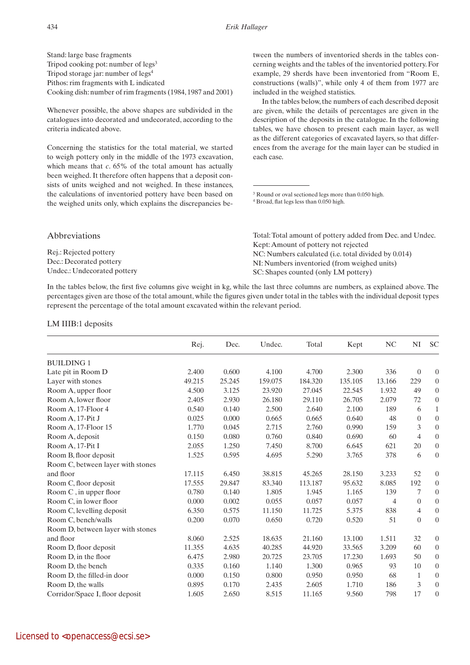Stand: large base fragments Tripod cooking pot: number of legs<sup>3</sup> Tripod storage jar: number of legs4 Pithos: rim fragments with L indicated Cooking dish: number of rim fragments (1984, 1987 and 2001)

Whenever possible, the above shapes are subdivided in the catalogues into decorated and undecorated, according to the criteria indicated above.

Concerning the statistics for the total material, we started to weigh pottery only in the middle of the 1973 excavation, which means that *c*. 65% of the total amount has actually been weighed. It therefore often happens that a deposit consists of units weighed and not weighed. In these instances, the calculations of inventoried pottery have been based on the weighed units only, which explains the discrepancies be-

tween the numbers of inventoried sherds in the tables concerning weights and the tables of the inventoried pottery. For example, 29 sherds have been inventoried from "Room E, constructions (walls)", while only 4 of them from 1977 are included in the weighed statistics.

In the tables below, the numbers of each described deposit are given, while the details of percentages are given in the description of the deposits in the catalogue. In the following tables, we have chosen to present each main layer, as well as the different categories of excavated layers, so that differences from the average for the main layer can be studied in each case.

3 Round or oval sectioned legs more than 0.050 high. 4 Broad, flat legs less than 0.050 high.

| <i>Abbreviations</i>        | Total: Total amount of pottery added from Dec. and Undec. |
|-----------------------------|-----------------------------------------------------------|
|                             | Kept: Amount of pottery not rejected                      |
| Rej.: Rejected pottery      | NC: Numbers calculated (i.e. total divided by 0.014)      |
| Dec.: Decorated pottery     | NI: Numbers inventoried (from weighed units)              |
| Undec.: Undecorated pottery | SC: Shapes counted (only LM pottery)                      |

In the tables below, the first five columns give weight in kg, while the last three columns are numbers, as explained above. The percentages given are those of the total amount, while the figures given under total in the tables with the individual deposit types represent the percentage of the total amount excavated within the relevant period.

#### LM IIIB:1 deposits

|                                   | Rej.   | Dec.   | Undec.  | Total   | Kept    | N <sub>C</sub> | NI               | <b>SC</b>        |
|-----------------------------------|--------|--------|---------|---------|---------|----------------|------------------|------------------|
| <b>BUILDING 1</b>                 |        |        |         |         |         |                |                  |                  |
| Late pit in Room D                | 2.400  | 0.600  | 4.100   | 4.700   | 2.300   | 336            | $\boldsymbol{0}$ | $\theta$         |
| Layer with stones                 | 49.215 | 25.245 | 159.075 | 184.320 | 135.105 | 13.166         | 229              | $\boldsymbol{0}$ |
| Room A, upper floor               | 4.500  | 3.125  | 23.920  | 27.045  | 22.545  | 1.932          | 49               | $\boldsymbol{0}$ |
| Room A, lower floor               | 2.405  | 2.930  | 26.180  | 29.110  | 26.705  | 2.079          | 72               | $\boldsymbol{0}$ |
| Room A, 17-Floor 4                | 0.540  | 0.140  | 2.500   | 2.640   | 2.100   | 189            | 6                | $\mathbf{1}$     |
| Room A, 17-Pit J                  | 0.025  | 0.000  | 0.665   | 0.665   | 0.640   | 48             | $\overline{0}$   | $\boldsymbol{0}$ |
| Room A, 17-Floor 15               | 1.770  | 0.045  | 2.715   | 2.760   | 0.990   | 159            | $\mathfrak{Z}$   | $\boldsymbol{0}$ |
| Room A, deposit                   | 0.150  | 0.080  | 0.760   | 0.840   | 0.690   | 60             | $\overline{4}$   | $\boldsymbol{0}$ |
| Room A, 17-Pit I                  | 2.055  | 1.250  | 7.450   | 8.700   | 6.645   | 621            | 20               | $\boldsymbol{0}$ |
| Room B, floor deposit             | 1.525  | 0.595  | 4.695   | 5.290   | 3.765   | 378            | 6                | $\mathbf{0}$     |
| Room C, between layer with stones |        |        |         |         |         |                |                  |                  |
| and floor                         | 17.115 | 6.450  | 38.815  | 45.265  | 28.150  | 3.233          | 52               | $\overline{0}$   |
| Room C, floor deposit             | 17.555 | 29.847 | 83.340  | 113.187 | 95.632  | 8.085          | 192              | $\boldsymbol{0}$ |
| Room C, in upper floor            | 0.780  | 0.140  | 1.805   | 1.945   | 1.165   | 139            | 7                | $\boldsymbol{0}$ |
| Room C, in lower floor            | 0.000  | 0.002  | 0.055   | 0.057   | 0.057   | 4              | $\overline{0}$   | $\boldsymbol{0}$ |
| Room C, levelling deposit         | 6.350  | 0.575  | 11.150  | 11.725  | 5.375   | 838            | $\overline{4}$   | $\boldsymbol{0}$ |
| Room C, bench/walls               | 0.200  | 0.070  | 0.650   | 0.720   | 0.520   | 51             | $\overline{0}$   | $\mathbf{0}$     |
| Room D, between layer with stones |        |        |         |         |         |                |                  |                  |
| and floor                         | 8.060  | 2.525  | 18.635  | 21.160  | 13.100  | 1.511          | 32               | $\boldsymbol{0}$ |
| Room D, floor deposit             | 11.355 | 4.635  | 40.285  | 44.920  | 33.565  | 3.209          | 60               | $\boldsymbol{0}$ |
| Room D, in the floor              | 6.475  | 2.980  | 20.725  | 23.705  | 17.230  | 1.693          | 50               | $\boldsymbol{0}$ |
| Room D, the bench                 | 0.335  | 0.160  | 1.140   | 1.300   | 0.965   | 93             | 10               | $\boldsymbol{0}$ |
| Room D, the filled-in door        | 0.000  | 0.150  | 0.800   | 0.950   | 0.950   | 68             | $\mathbf{1}$     | $\mathbf{0}$     |
| Room D, the walls                 | 0.895  | 0.170  | 2.435   | 2.605   | 1.710   | 186            | 3                | $\boldsymbol{0}$ |
| Corridor/Space I, floor deposit   | 1.605  | 2.650  | 8.515   | 11.165  | 9.560   | 798            | 17               | $\boldsymbol{0}$ |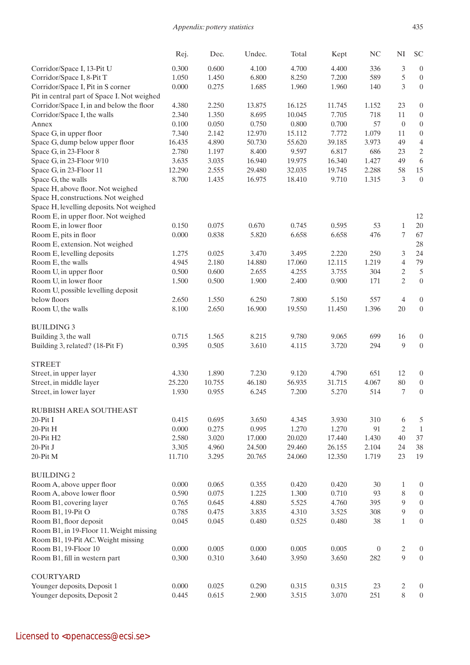|                                                       | Rej.           | Dec.           | Undec.         | Total          | Kept           | NC                      | $\mathbf{N}\mathbf{I}$ | <b>SC</b>                            |
|-------------------------------------------------------|----------------|----------------|----------------|----------------|----------------|-------------------------|------------------------|--------------------------------------|
| Corridor/Space I, 13-Pit U                            | 0.300          | 0.600          | 4.100          | 4.700          | 4.400          | 336                     | 3                      | $\boldsymbol{0}$                     |
| Corridor/Space I, 8-Pit T                             | 1.050          | 1.450          | 6.800          | 8.250          | 7.200          | 589                     | 5                      | $\boldsymbol{0}$                     |
| Corridor/Space I, Pit in S corner                     | 0.000          | 0.275          | 1.685          | 1.960          | 1.960          | 140                     | 3                      | $\boldsymbol{0}$                     |
| Pit in central part of Space I. Not weighed           |                |                |                |                |                |                         |                        |                                      |
| Corridor/Space I, in and below the floor              | 4.380          | 2.250          | 13.875         | 16.125         | 11.745         | 1.152                   | 23                     | $\boldsymbol{0}$                     |
| Corridor/Space I, the walls                           | 2.340          | 1.350          | 8.695          | 10.045         | 7.705          | 718                     | 11                     | $\boldsymbol{0}$                     |
| Annex                                                 | 0.100          | 0.050          | 0.750          | 0.800          | 0.700          | 57                      | $\boldsymbol{0}$       | $\boldsymbol{0}$                     |
| Space G, in upper floor                               | 7.340          | 2.142          | 12.970         | 15.112         | 7.772          | 1.079                   | 11                     | $\boldsymbol{0}$                     |
| Space G, dump below upper floor                       | 16.435         | 4.890          | 50.730         | 55.620         | 39.185         | 3.973                   | 49                     | $\overline{4}$                       |
| Space G, in 23-Floor 8                                | 2.780          | 1.197          | 8.400          | 9.597          | 6.817          | 686                     | 23                     | $\overline{c}$                       |
| Space G, in 23-Floor 9/10                             | 3.635          | 3.035          | 16.940         | 19.975         | 16.340         | 1.427                   | 49                     | 6                                    |
| Space G, in 23-Floor 11                               | 12.290         | 2.555          | 29.480         | 32.035         | 19.745         | 2.288                   | 58                     | 15                                   |
| Space G, the walls                                    | 8.700          | 1.435          | 16.975         | 18.410         | 9.710          | 1.315                   | 3                      | $\boldsymbol{0}$                     |
| Space H, above floor. Not weighed                     |                |                |                |                |                |                         |                        |                                      |
| Space H, constructions. Not weighed                   |                |                |                |                |                |                         |                        |                                      |
| Space H, levelling deposits. Not weighed              |                |                |                |                |                |                         |                        |                                      |
| Room E, in upper floor. Not weighed                   |                |                |                |                |                |                         |                        | 12                                   |
| Room E, in lower floor                                | 0.150          | 0.075          | 0.670          | 0.745          | 0.595          | 53                      | $\mathbf{1}$           | $20\,$                               |
| Room E, pits in floor                                 | 0.000          | 0.838          | 5.820          | 6.658          | 6.658          | 476                     | 7                      | 67                                   |
| Room E, extension. Not weighed                        |                |                |                |                |                |                         |                        | 28                                   |
| Room E, levelling deposits                            | 1.275          | 0.025          | 3.470          | 3.495          | 2.220          | 250                     | 3                      | 24                                   |
| Room E, the walls                                     | 4.945          | 2.180          | 14.880         | 17.060         | 12.115         | 1.219                   | 4                      | 79                                   |
| Room U, in upper floor                                | 0.500          | 0.600          | 2.655          | 4.255          | 3.755          | 304                     | $\mathfrak{2}$         | 5                                    |
| Room U, in lower floor                                | 1.500          | 0.500          | 1.900          | 2.400          | 0.900          | 171                     | $\overline{2}$         | $\boldsymbol{0}$                     |
| Room U, possible levelling deposit                    |                |                |                |                |                |                         |                        |                                      |
| below floors                                          | 2.650          | 1.550          | 6.250          | 7.800          | 5.150          | 557                     | $\overline{4}$         | $\boldsymbol{0}$                     |
| Room U, the walls                                     | 8.100          | 2.650          | 16.900         | 19.550         | 11.450         | 1.396                   | 20                     | $\boldsymbol{0}$                     |
| <b>BUILDING 3</b>                                     |                |                |                |                |                |                         |                        |                                      |
| Building 3, the wall                                  | 0.715          | 1.565          | 8.215          | 9.780          | 9.065          | 699                     | 16                     | $\boldsymbol{0}$                     |
| Building 3, related? (18-Pit F)                       | 0.395          | 0.505          | 3.610          | 4.115          | 3.720          | 294                     | 9                      | $\boldsymbol{0}$                     |
| <b>STREET</b>                                         |                |                |                |                |                |                         |                        |                                      |
| Street, in upper layer                                | 4.330          | 1.890          | 7.230          | 9.120          | 4.790          | 651                     | 12                     | $\overline{0}$                       |
| Street, in middle layer                               | 25.220         | 10.755         | 46.180         | 56.935         | 31.715         | 4.067                   | 80                     | $\boldsymbol{0}$                     |
| Street, in lower layer                                | 1.930          | 0.955          | 6.245          | 7.200          | 5.270          | 514                     | 7                      | $\boldsymbol{0}$                     |
| RUBBISH AREA SOUTHEAST                                |                |                |                |                |                |                         |                        |                                      |
| $20-PitI$                                             | 0.415          | 0.695          | 3.650          | 4.345          | 3.930          | 310                     | 6                      | 5                                    |
| $20-PitH$                                             | 0.000          | 0.275          | 0.995          | 1.270          | 1.270          | 91                      | 2                      | $1\,$                                |
| 20-Pit H2                                             | 2.580          | 3.020          | 17.000         | 20.020         | 17.440         | 1.430                   | 40                     | 37                                   |
| 20-Pit J                                              | 3.305          | 4.960          | 24.500         | 29.460         | 26.155         | 2.104                   | 24                     | 38                                   |
| 20-Pit M                                              | 11.710         | 3.295          | 20.765         | 24.060         | 12.350         | 1.719                   | 23                     | 19                                   |
| <b>BUILDING 2</b>                                     |                |                |                |                |                |                         |                        |                                      |
| Room A, above upper floor                             | 0.000          | 0.065          | 0.355          | 0.420          | 0.420          | 30                      | $\mathbf{1}$           | $\boldsymbol{0}$                     |
| Room A, above lower floor                             | 0.590          | 0.075          | 1.225          | 1.300          | 0.710          | 93                      | 8                      | $\boldsymbol{0}$                     |
| Room B1, covering layer                               | 0.765          | 0.645          | 4.880          | 5.525          | 4.760          | 395                     | 9                      | $\boldsymbol{0}$                     |
| Room B1, 19-Pit O                                     | 0.785          | 0.475          | 3.835          | 4.310          | 3.525          | 308                     | $\overline{9}$         | $\boldsymbol{0}$                     |
| Room B1, floor deposit                                | 0.045          | 0.045          | 0.480          | 0.525          | 0.480          | 38                      | $\mathbf{1}$           |                                      |
| Room B1, in 19-Floor 11. Weight missing               |                |                |                |                |                |                         |                        | $\boldsymbol{0}$                     |
| Room B1, 19-Pit AC. Weight missing                    |                |                |                |                |                |                         |                        |                                      |
|                                                       |                |                |                |                |                |                         |                        |                                      |
| Room B1, 19-Floor 10<br>Room B1, fill in western part | 0.000<br>0.300 | 0.005<br>0.310 | 0.000<br>3.640 | 0.005<br>3.950 | 0.005<br>3.650 | $\boldsymbol{0}$<br>282 | $\mathbf{2}$<br>9      | $\boldsymbol{0}$<br>$\boldsymbol{0}$ |
|                                                       |                |                |                |                |                |                         |                        |                                      |
| <b>COURTYARD</b>                                      |                |                |                |                |                |                         |                        |                                      |
| Younger deposits, Deposit 1                           | 0.000          | 0.025          | 0.290          | 0.315          | 0.315          | 23                      | $\mathbf{2}$           | $\boldsymbol{0}$                     |
| Younger deposits, Deposit 2                           | 0.445          | 0.615          | 2.900          | 3.515          | 3.070          | 251                     | 8                      | $\boldsymbol{0}$                     |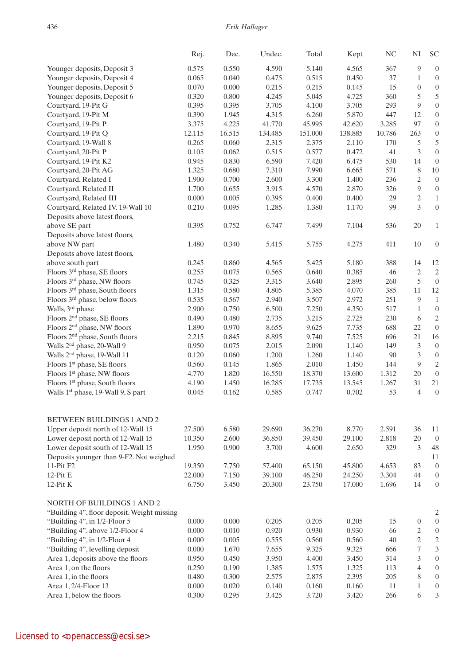436 *Erik Hallager*

|                                                | Rej.   | Dec.   | Undec.  | Total   | Kept    | $\rm NC$ | $\rm NI$         | <b>SC</b>               |
|------------------------------------------------|--------|--------|---------|---------|---------|----------|------------------|-------------------------|
| Younger deposits, Deposit 3                    | 0.575  | 0.550  | 4.590   | 5.140   | 4.565   | 367      | 9                | $\boldsymbol{0}$        |
| Younger deposits, Deposit 4                    | 0.065  | 0.040  | 0.475   | 0.515   | 0.450   | 37       | $\mathbf{1}$     | $\boldsymbol{0}$        |
| Younger deposits, Deposit 5                    | 0.070  | 0.000  | 0.215   | 0.215   | 0.145   | 15       | $\boldsymbol{0}$ | $\boldsymbol{0}$        |
| Younger deposits, Deposit 6                    | 0.320  | 0.800  | 4.245   | 5.045   | 4.725   | 360      | 5                | $\mathfrak s$           |
| Courtyard, 19-Pit G                            | 0.395  | 0.395  | 3.705   | 4.100   | 3.705   | 293      | 9                | $\boldsymbol{0}$        |
| Courtyard, 19-Pit M                            | 0.390  | 1.945  | 4.315   | 6.260   | 5.870   | 447      | 12               | $\boldsymbol{0}$        |
| Courtyard, 19-Pit P                            | 3.375  | 4.225  | 41.770  | 45.995  | 42.620  | 3.285    | 97               | $\boldsymbol{0}$        |
| Courtyard, 19-Pit Q                            | 12.115 | 16.515 | 134.485 | 151.000 | 138.885 | 10.786   | 263              | $\boldsymbol{0}$        |
| Courtyard, 19-Wall 8                           | 0.265  | 0.060  | 2.315   | 2.375   | 2.110   | 170      | 5                | $\sqrt{5}$              |
| Courtyard, 20-Pit P                            | 0.105  | 0.062  | 0.515   | 0.577   | 0.472   | 41       | $\mathfrak{Z}$   | $\boldsymbol{0}$        |
| Courtyard, 19-Pit K2                           | 0.945  | 0.830  | 6.590   | 7.420   | 6.475   | 530      | 14               | $\boldsymbol{0}$        |
| Courtyard, 20-Pit AG                           | 1.325  | 0.680  | 7.310   | 7.990   | 6.665   | 571      | 8                | $10\,$                  |
| Courtyard, Related I                           | 1.900  | 0.700  | 2.600   | 3.300   | 1.400   | 236      | 2                | $\boldsymbol{0}$        |
| Courtyard, Related II                          | 1.700  | 0.655  | 3.915   | 4.570   | 2.870   | 326      | $\overline{9}$   | $\boldsymbol{0}$        |
| Courtyard, Related III                         | 0.000  | 0.005  | 0.395   | 0.400   | 0.400   | 29       | $\sqrt{2}$       | $\,1\,$                 |
| Courtyard, Related IV. 19-Wall 10              | 0.210  | 0.095  | 1.285   | 1.380   | 1.170   | 99       | $\overline{3}$   | $\boldsymbol{0}$        |
| Deposits above latest floors,                  |        |        |         |         |         |          |                  |                         |
| above SE part                                  | 0.395  | 0.752  | 6.747   | 7.499   | 7.104   | 536      | $20\,$           | $\mathbf{1}$            |
| Deposits above latest floors,                  |        |        |         |         |         |          |                  |                         |
| above NW part                                  | 1.480  | 0.340  | 5.415   | 5.755   | 4.275   | 411      | $10\,$           | $\boldsymbol{0}$        |
| Deposits above latest floors,                  |        |        |         |         |         |          |                  |                         |
| above south part                               | 0.245  | 0.860  | 4.565   | 5.425   | 5.180   | 388      | 14               | 12                      |
| Floors 3rd phase, SE floors                    | 0.255  | 0.075  | 0.565   | 0.640   | 0.385   | 46       | $\sqrt{2}$       | $\overline{2}$          |
| Floors 3rd phase, NW floors                    | 0.745  | 0.325  | 3.315   | 3.640   | 2.895   | 260      | 5                | $\boldsymbol{0}$        |
| Floors 3rd phase, South floors                 | 1.315  | 0.580  | 4.805   | 5.385   | 4.070   | 385      | 11               | 12                      |
| Floors 3rd phase, below floors                 | 0.535  | 0.567  | 2.940   | 3.507   | 2.972   | 251      | $\overline{9}$   | $1\,$                   |
| Walls, 3 <sup>rd</sup> phase                   | 2.900  | 0.750  | 6.500   | 7.250   | 4.350   | 517      | $\mathbf{1}$     | $\boldsymbol{0}$        |
| Floors 2 <sup>nd</sup> phase, SE floors        | 0.490  | 0.480  | 2.735   | 3.215   | 2.725   | 230      | 6                | $\sqrt{2}$              |
| Floors 2 <sup>nd</sup> phase, NW floors        | 1.890  | 0.970  | 8.655   | 9.625   | 7.735   | 688      | 22               | $\boldsymbol{0}$        |
| Floors 2 <sup>nd</sup> phase, South floors     | 2.215  | 0.845  | 8.895   | 9.740   | 7.525   | 696      | $21\,$           | 16                      |
| Walls 2 <sup>nd</sup> phase, 20-Wall 9         | 0.950  | 0.075  | 2.015   | 2.090   | 1.140   | 149      | 3                | $\boldsymbol{0}$        |
| Walls 2 <sup>nd</sup> phase, 19-Wall 11        | 0.120  | 0.060  | 1.200   | 1.260   | 1.140   | 90       | $\mathfrak{Z}$   | $\boldsymbol{0}$        |
| Floors 1 <sup>st</sup> phase, SE floors        | 0.560  | 0.145  | 1.865   | 2.010   | 1.450   | 144      | $\overline{9}$   | $\overline{2}$          |
| Floors 1 <sup>st</sup> phase, NW floors        | 4.770  | 1.820  | 16.550  | 18.370  | 13.600  | 1.312    | $20\,$           | $\boldsymbol{0}$        |
| Floors 1 <sup>st</sup> phase, South floors     | 4.190  | 1.450  | 16.285  | 17.735  | 13.545  | 1.267    | 31               | 21                      |
| Walls 1 <sup>st</sup> phase, 19-Wall 9, S part | 0.045  | 0.162  | 0.585   | 0.747   | 0.702   | 53       | $\overline{4}$   | $\boldsymbol{0}$        |
|                                                |        |        |         |         |         |          |                  |                         |
| BETWEEN BUILDINGS 1 AND 2                      |        |        |         |         |         |          |                  |                         |
| Upper deposit north of 12-Wall 15              | 27.500 | 6.580  | 29.690  | 36.270  | 8.770   | 2.591    | 36               | 11                      |
| Lower deposit north of 12-Wall 15              | 10.350 | 2.600  | 36.850  | 39.450  | 29.100  | 2.818    | $20\,$           | $\overline{0}$          |
| Lower deposit south of 12-Wall 15              | 1.950  | 0.900  | 3.700   | 4.600   | 2.650   | 329      | 3                | 48                      |
| Deposits younger than 9-F2. Not weighed        |        |        |         |         |         |          |                  | 11                      |
| 11-Pit F2                                      | 19.350 | 7.750  | 57.400  | 65.150  | 45.800  | 4.653    | 83               | $\boldsymbol{0}$        |
| 12- $P$ it $E$                                 | 22.000 | 7.150  | 39.100  | 46.250  | 24.250  | 3.304    | 44               | $\boldsymbol{0}$        |
| $12-Pit K$                                     | 6.750  | 3.450  | 20.300  | 23.750  | 17.000  | 1.696    | 14               | $\boldsymbol{0}$        |
| <b>NORTH OF BUILDINGS 1 AND 2</b>              |        |        |         |         |         |          |                  |                         |
| "Building 4", floor deposit. Weight missing    |        |        |         |         |         |          |                  | 2                       |
| "Building 4", in 1/2-Floor 5                   | 0.000  | 0.000  | 0.205   | 0.205   | 0.205   | 15       | $\boldsymbol{0}$ | $\boldsymbol{0}$        |
| "Building 4", above 1/2-Floor 4                | 0.000  | 0.010  | 0.920   | 0.930   | 0.930   | 66       | 2                | $\boldsymbol{0}$        |
| "Building 4", in 1/2-Floor 4                   | 0.000  | 0.005  | 0.555   | 0.560   | 0.560   | 40       | $\mathfrak{2}$   | $\overline{c}$          |
| "Building 4", levelling deposit                | 0.000  | 1.670  | 7.655   | 9.325   | 9.325   | 666      | 7                | $\overline{\mathbf{3}}$ |
| Area 1, deposits above the floors              | 0.950  | 0.450  | 3.950   | 4.400   | 3.450   | 314      | 3                | $\boldsymbol{0}$        |
| Area 1, on the floors                          | 0.250  | 0.190  | 1.385   | 1.575   | 1.325   | 113      | $\overline{4}$   | $\boldsymbol{0}$        |
| Area 1, in the floors                          | 0.480  | 0.300  | 2.575   | 2.875   | 2.395   | 205      | 8                | $\boldsymbol{0}$        |
| Area 1, 2/4-Floor 13                           | 0.000  | 0.020  | 0.140   | 0.160   | 0.160   | 11       | $\mathbf{1}$     | $\boldsymbol{0}$        |
| Area 1, below the floors                       | 0.300  | 0.295  | 3.425   | 3.720   | 3.420   | 266      | 6                | 3                       |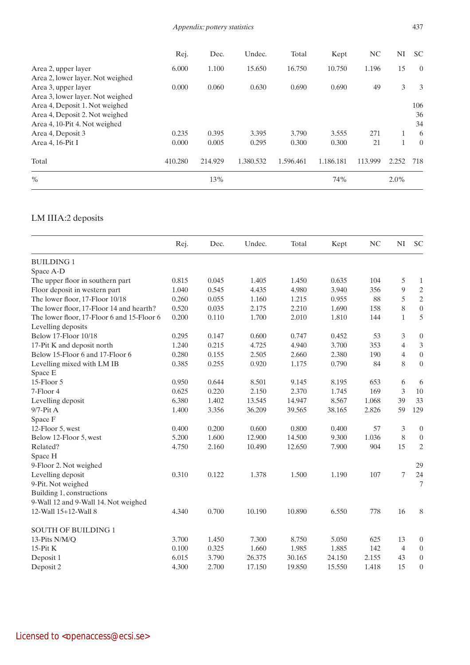|                                  | Rej.    | Dec.    | Undec.    | Total     | Kept      | NC      | NI      | <b>SC</b> |
|----------------------------------|---------|---------|-----------|-----------|-----------|---------|---------|-----------|
| Area 2, upper layer              | 6.000   | 1.100   | 15.650    | 16.750    | 10.750    | 1.196   | 15      | $\theta$  |
| Area 2, lower layer. Not weighed |         |         |           |           |           |         |         |           |
| Area 3, upper layer              | 0.000   | 0.060   | 0.630     | 0.690     | 0.690     | 49      | 3       | 3         |
| Area 3, lower layer. Not weighed |         |         |           |           |           |         |         |           |
| Area 4, Deposit 1. Not weighed   |         |         |           |           |           |         |         | 106       |
| Area 4, Deposit 2. Not weighed   |         |         |           |           |           |         |         | 36        |
| Area 4, 10-Pit 4. Not weighed    |         |         |           |           |           |         |         | 34        |
| Area 4, Deposit 3                | 0.235   | 0.395   | 3.395     | 3.790     | 3.555     | 271     |         | 6         |
| Area 4, 16-Pit I                 | 0.000   | 0.005   | 0.295     | 0.300     | 0.300     | 21      |         | $\Omega$  |
| Total                            | 410.280 | 214.929 | 1.380.532 | 1.596.461 | 1.186.181 | 113.999 | 2.252   | 718       |
| $\frac{0}{0}$                    |         | 13%     |           |           | 74%       |         | $2.0\%$ |           |

## LM IIIA:2 deposits

|                                            | Rej.  | Dec.  | Undec. | Total  | Kept   | N <sub>C</sub> | NI             | <b>SC</b>                   |
|--------------------------------------------|-------|-------|--------|--------|--------|----------------|----------------|-----------------------------|
| <b>BUILDING1</b>                           |       |       |        |        |        |                |                |                             |
| Space A-D                                  |       |       |        |        |        |                |                |                             |
| The upper floor in southern part           | 0.815 | 0.045 | 1.405  | 1.450  | 0.635  | 104            | 5              | $\mathbf{1}$                |
| Floor deposit in western part              | 1.040 | 0.545 | 4.435  | 4.980  | 3.940  | 356            | $\overline{9}$ | $\sqrt{2}$                  |
| The lower floor, 17-Floor 10/18            | 0.260 | 0.055 | 1.160  | 1.215  | 0.955  | 88             | 5              | $\sqrt{2}$                  |
| The lower floor, 17-Floor 14 and hearth?   | 0.520 | 0.035 | 2.175  | 2.210  | 1.690  | 158            | 8              | $\boldsymbol{0}$            |
| The lower floor, 17-Floor 6 and 15-Floor 6 | 0.200 | 0.110 | 1.700  | 2.010  | 1.810  | 144            | $\mathbf{1}$   | 5                           |
| Levelling deposits                         |       |       |        |        |        |                |                |                             |
| Below 17-Floor 10/18                       | 0.295 | 0.147 | 0.600  | 0.747  | 0.452  | 53             | 3              | $\boldsymbol{0}$            |
| 17-Pit K and deposit north                 | 1.240 | 0.215 | 4.725  | 4.940  | 3.700  | 353            | $\overline{4}$ | $\ensuremath{\mathfrak{Z}}$ |
| Below 15-Floor 6 and 17-Floor 6            | 0.280 | 0.155 | 2.505  | 2.660  | 2.380  | 190            | $\overline{4}$ | $\boldsymbol{0}$            |
| Levelling mixed with LM IB                 | 0.385 | 0.255 | 0.920  | 1.175  | 0.790  | 84             | 8              | $\boldsymbol{0}$            |
| Space E                                    |       |       |        |        |        |                |                |                             |
| 15-Floor 5                                 | 0.950 | 0.644 | 8.501  | 9.145  | 8.195  | 653            | 6              | 6                           |
| 7-Floor 4                                  | 0.625 | 0.220 | 2.150  | 2.370  | 1.745  | 169            | 3              | 10                          |
| Levelling deposit                          | 6.380 | 1.402 | 13.545 | 14.947 | 8.567  | 1.068          | 39             | 33                          |
| $9/7$ -Pit A                               | 1.400 | 3.356 | 36.209 | 39.565 | 38.165 | 2.826          | 59             | 129                         |
| Space F                                    |       |       |        |        |        |                |                |                             |
| 12-Floor 5, west                           | 0.400 | 0.200 | 0.600  | 0.800  | 0.400  | 57             | $\mathfrak{Z}$ | $\boldsymbol{0}$            |
| Below 12-Floor 5, west                     | 5.200 | 1.600 | 12.900 | 14.500 | 9.300  | 1.036          | 8              | $\boldsymbol{0}$            |
| Related?                                   | 4.750 | 2.160 | 10.490 | 12.650 | 7.900  | 904            | 15             | $\overline{2}$              |
| Space H                                    |       |       |        |        |        |                |                |                             |
| 9-Floor 2. Not weighed                     |       |       |        |        |        |                |                | 29                          |
| Levelling deposit                          | 0.310 | 0.122 | 1.378  | 1.500  | 1.190  | 107            | 7              | 24                          |
| 9-Pit. Not weighed                         |       |       |        |        |        |                |                | $\tau$                      |
| Building 1, constructions                  |       |       |        |        |        |                |                |                             |
| 9-Wall 12 and 9-Wall 14. Not weighed       |       |       |        |        |        |                |                |                             |
| 12-Wall 15+12-Wall 8                       | 4.340 | 0.700 | 10.190 | 10.890 | 6.550  | 778            | 16             | 8                           |
| <b>SOUTH OF BUILDING 1</b>                 |       |       |        |        |        |                |                |                             |
| 13-Pits N/M/Q                              | 3.700 | 1.450 | 7.300  | 8.750  | 5.050  | 625            | 13             | $\boldsymbol{0}$            |
| $15-Pit K$                                 | 0.100 | 0.325 | 1.660  | 1.985  | 1.885  | 142            | $\overline{4}$ | $\boldsymbol{0}$            |
| Deposit 1                                  | 6.015 | 3.790 | 26.375 | 30.165 | 24.150 | 2.155          | 43             | $\boldsymbol{0}$            |
| Deposit 2                                  | 4.300 | 2.700 | 17.150 | 19.850 | 15.550 | 1.418          | 15             | $\boldsymbol{0}$            |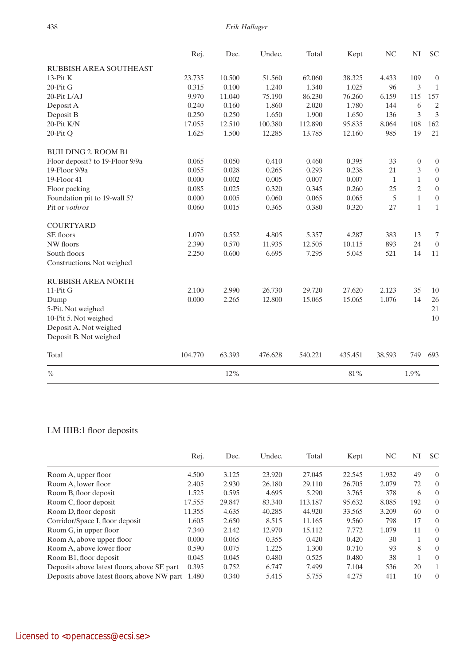|                                 | Rej.    | Dec.   | Undec.  | Total   | Kept    | NC     | $\mathbf{N}\mathbf{I}$ | <b>SC</b>        |
|---------------------------------|---------|--------|---------|---------|---------|--------|------------------------|------------------|
| RUBBISH AREA SOUTHEAST          |         |        |         |         |         |        |                        |                  |
| $13-Pit K$                      | 23.735  | 10.500 | 51.560  | 62.060  | 38.325  | 4.433  | 109                    | $\boldsymbol{0}$ |
| $20-PitG$                       | 0.315   | 0.100  | 1.240   | 1.340   | 1.025   | 96     | 3                      | $\mathbf{1}$     |
| 20-Pit L/AJ                     | 9.970   | 11.040 | 75.190  | 86.230  | 76.260  | 6.159  | 115                    | 157              |
| Deposit A                       | 0.240   | 0.160  | 1.860   | 2.020   | 1.780   | 144    | 6                      | $\overline{c}$   |
| Deposit B                       | 0.250   | 0.250  | 1.650   | 1.900   | 1.650   | 136    | 3                      | 3                |
| 20-Pit K/N                      | 17.055  | 12.510 | 100.380 | 112.890 | 95.835  | 8.064  | 108                    | 162              |
| 20-Pit Q                        | 1.625   | 1.500  | 12.285  | 13.785  | 12.160  | 985    | 19                     | 21               |
| <b>BUILDING 2. ROOM B1</b>      |         |        |         |         |         |        |                        |                  |
| Floor deposit? to 19-Floor 9/9a | 0.065   | 0.050  | 0.410   | 0.460   | 0.395   | 33     | $\boldsymbol{0}$       | $\boldsymbol{0}$ |
| 19-Floor 9/9a                   | 0.055   | 0.028  | 0.265   | 0.293   | 0.238   | 21     | 3                      | $\boldsymbol{0}$ |
| 19-Floor 41                     | 0.000   | 0.002  | 0.005   | 0.007   | 0.007   | 1      | $\mathbf{1}$           | $\boldsymbol{0}$ |
| Floor packing                   | 0.085   | 0.025  | 0.320   | 0.345   | 0.260   | 25     | $\overline{2}$         | $\boldsymbol{0}$ |
| Foundation pit to 19-wall 5?    | 0.000   | 0.005  | 0.060   | 0.065   | 0.065   | 5      | $\mathbf{1}$           | $\boldsymbol{0}$ |
| Pit or vothros                  | 0.060   | 0.015  | 0.365   | 0.380   | 0.320   | 27     | $\mathbf{1}$           | $\mathbf 1$      |
| <b>COURTYARD</b>                |         |        |         |         |         |        |                        |                  |
| SE floors                       | 1.070   | 0.552  | 4.805   | 5.357   | 4.287   | 383    | 13                     | 7                |
| NW floors                       | 2.390   | 0.570  | 11.935  | 12.505  | 10.115  | 893    | 24                     | $\boldsymbol{0}$ |
| South floors                    | 2.250   | 0.600  | 6.695   | 7.295   | 5.045   | 521    | 14                     | 11               |
| Constructions. Not weighed      |         |        |         |         |         |        |                        |                  |
| RUBBISH AREA NORTH              |         |        |         |         |         |        |                        |                  |
| $11-PitG$                       | 2.100   | 2.990  | 26.730  | 29.720  | 27.620  | 2.123  | 35                     | 10               |
| Dump                            | 0.000   | 2.265  | 12.800  | 15.065  | 15.065  | 1.076  | 14                     | 26               |
| 5-Pit. Not weighed              |         |        |         |         |         |        |                        | 21               |
| 10-Pit 5. Not weighed           |         |        |         |         |         |        |                        | 10               |
| Deposit A. Not weighed          |         |        |         |         |         |        |                        |                  |
| Deposit B. Not weighed          |         |        |         |         |         |        |                        |                  |
| Total                           | 104.770 | 63.393 | 476.628 | 540.221 | 435.451 | 38.593 | 749                    | 693              |
| $\%$                            |         | 12%    |         |         | 81%     |        | 1.9%                   |                  |

# LM IIIB:1 floor deposits

|                                             | Rej.   | Dec.   | Undec. | Total   | Kept   | NC    | NI  | <b>SC</b>      |
|---------------------------------------------|--------|--------|--------|---------|--------|-------|-----|----------------|
| Room A, upper floor                         | 4.500  | 3.125  | 23.920 | 27.045  | 22.545 | 1.932 | 49  | $\Omega$       |
| Room A, lower floor                         | 2.405  | 2.930  | 26.180 | 29.110  | 26.705 | 2.079 | 72  | $\overline{0}$ |
| Room B, floor deposit                       | 1.525  | 0.595  | 4.695  | 5.290   | 3.765  | 378   | 6   | $\overline{0}$ |
| Room C, floor deposit                       | 17.555 | 29.847 | 83.340 | 113.187 | 95.632 | 8.085 | 192 | $\overline{0}$ |
| Room D, floor deposit                       | 11.355 | 4.635  | 40.285 | 44.920  | 33.565 | 3.209 | 60  | $\overline{0}$ |
| Corridor/Space I, floor deposit             | 1.605  | 2.650  | 8.515  | 11.165  | 9.560  | 798   | 17  | $\overline{0}$ |
| Room G, in upper floor                      | 7.340  | 2.142  | 12.970 | 15.112  | 7.772  | 1.079 | 11  | $\overline{0}$ |
| Room A, above upper floor                   | 0.000  | 0.065  | 0.355  | 0.420   | 0.420  | 30    |     | $\overline{0}$ |
| Room A, above lower floor                   | 0.590  | 0.075  | 1.225  | 1.300   | 0.710  | 93    | 8   | $\overline{0}$ |
| Room B1, floor deposit                      | 0.045  | 0.045  | 0.480  | 0.525   | 0.480  | 38    |     | $\overline{0}$ |
| Deposits above latest floors, above SE part | 0.395  | 0.752  | 6.747  | 7.499   | 7.104  | 536   | 20  | $\mathbf{1}$   |
| Deposits above latest floors, above NW part | 1.480  | 0.340  | 5.415  | 5.755   | 4.275  | 411   | 10  | $\Omega$       |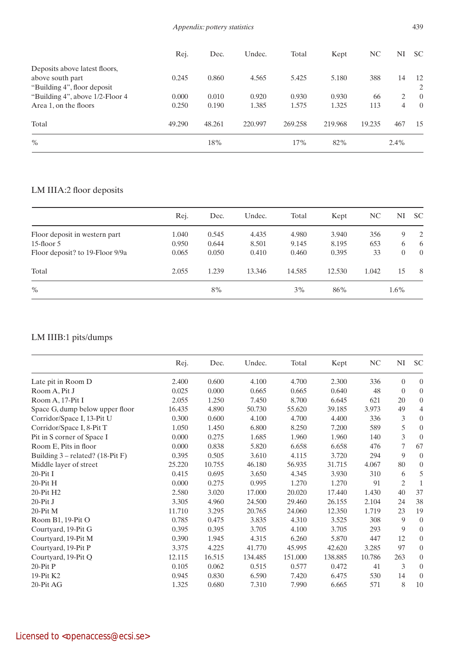|                                                   | Rej.   | Dec.   | Undec.  | Total   | Kept    | NC     | NI   | <b>SC</b>      |
|---------------------------------------------------|--------|--------|---------|---------|---------|--------|------|----------------|
| Deposits above latest floors,<br>above south part | 0.245  | 0.860  | 4.565   | 5.425   | 5.180   | 388    | 14   | 12             |
| "Building 4", floor deposit"                      |        |        |         |         |         |        |      | 2              |
| "Building 4", above 1/2-Floor 4                   | 0.000  | 0.010  | 0.920   | 0.930   | 0.930   | 66     | 2    | $\overline{0}$ |
| Area 1, on the floors                             | 0.250  | 0.190  | 1.385   | 1.575   | 1.325   | 113    | 4    | $\theta$       |
| Total                                             | 49.290 | 48.261 | 220.997 | 269.258 | 219.968 | 19.235 | 467  | 15             |
| $\%$                                              |        | 18%    |         | 17%     | 82%     |        | 2.4% |                |

# LM IIIA:2 floor deposits

|                                 | Rej.  | Dec.  | Undec. | Total  | Kept   | NC.   | NI             | <b>SC</b>      |
|---------------------------------|-------|-------|--------|--------|--------|-------|----------------|----------------|
| Floor deposit in western part   | 1.040 | 0.545 | 4.435  | 4.980  | 3.940  | 356   | 9              | 2              |
| $15$ -floor $5$                 | 0.950 | 0.644 | 8.501  | 9.145  | 8.195  | 653   | 6              | 6              |
| Floor deposit? to 19-Floor 9/9a | 0.065 | 0.050 | 0.410  | 0.460  | 0.395  | 33    | $\overline{0}$ | $\overline{0}$ |
| Total                           | 2.055 | 1.239 | 13.346 | 14.585 | 12.530 | 1.042 | 15             | - 8            |
| $\%$                            |       | 8%    |        | 3%     | 86%    |       | $1.6\%$        |                |

# LM IIIB:1 pits/dumps

|                                    | Rej.   | Dec.   | Undec.  | Total   | Kept    | $\rm NC$ | NI             | <b>SC</b>        |
|------------------------------------|--------|--------|---------|---------|---------|----------|----------------|------------------|
| Late pit in Room D                 | 2.400  | 0.600  | 4.100   | 4.700   | 2.300   | 336      | $\overline{0}$ | $\overline{0}$   |
| Room A, Pit J                      | 0.025  | 0.000  | 0.665   | 0.665   | 0.640   | 48       | $\overline{0}$ | $\boldsymbol{0}$ |
| Room A, 17-Pit I                   | 2.055  | 1.250  | 7.450   | 8.700   | 6.645   | 621      | 20             | $\boldsymbol{0}$ |
| Space G, dump below upper floor    | 16.435 | 4.890  | 50.730  | 55.620  | 39.185  | 3.973    | 49             | 4                |
| Corridor/Space I, 13-Pit U         | 0.300  | 0.600  | 4.100   | 4.700   | 4.400   | 336      | 3              | $\boldsymbol{0}$ |
| Corridor/Space I, 8-Pit T          | 1.050  | 1.450  | 6.800   | 8.250   | 7.200   | 589      | 5              | $\boldsymbol{0}$ |
| Pit in S corner of Space I         | 0.000  | 0.275  | 1.685   | 1.960   | 1.960   | 140      | 3              | $\mathbf{0}$     |
| Room E, Pits in floor              | 0.000  | 0.838  | 5.820   | 6.658   | 6.658   | 476      | 7              | 67               |
| Building $3$ – related? (18-Pit F) | 0.395  | 0.505  | 3.610   | 4.115   | 3.720   | 294      | 9              | $\mathbf{0}$     |
| Middle layer of street             | 25.220 | 10.755 | 46.180  | 56.935  | 31.715  | 4.067    | 80             | $\overline{0}$   |
| $20-PitI$                          | 0.415  | 0.695  | 3.650   | 4.345   | 3.930   | 310      | 6              | 5                |
| $20-PitH$                          | 0.000  | 0.275  | 0.995   | 1.270   | 1.270   | 91       | $\overline{c}$ | $\mathbf{1}$     |
| 20-Pit H2                          | 2.580  | 3.020  | 17.000  | 20.020  | 17.440  | 1.430    | 40             | 37               |
| $20-PitJ$                          | 3.305  | 4.960  | 24.500  | 29.460  | 26.155  | 2.104    | 24             | 38               |
| 20-Pit M                           | 11.710 | 3.295  | 20.765  | 24.060  | 12.350  | 1.719    | 23             | 19               |
| Room B1, 19-Pit O                  | 0.785  | 0.475  | 3.835   | 4.310   | 3.525   | 308      | 9              | $\mathbf{0}$     |
| Courtyard, 19-Pit G                | 0.395  | 0.395  | 3.705   | 4.100   | 3.705   | 293      | 9              | $\boldsymbol{0}$ |
| Courtyard, 19-Pit M                | 0.390  | 1.945  | 4.315   | 6.260   | 5.870   | 447      | 12             | $\boldsymbol{0}$ |
| Courtyard, 19-Pit P                | 3.375  | 4.225  | 41.770  | 45.995  | 42.620  | 3.285    | 97             | $\boldsymbol{0}$ |
| Courtyard, 19-Pit Q                | 12.115 | 16.515 | 134.485 | 151.000 | 138.885 | 10.786   | 263            | $\boldsymbol{0}$ |
| $20-PitP$                          | 0.105  | 0.062  | 0.515   | 0.577   | 0.472   | 41       | 3              | $\boldsymbol{0}$ |
| 19-Pit K2                          | 0.945  | 0.830  | 6.590   | 7.420   | 6.475   | 530      | 14             | $\mathbf{0}$     |
| 20-Pit AG                          | 1.325  | 0.680  | 7.310   | 7.990   | 6.665   | 571      | 8              | 10               |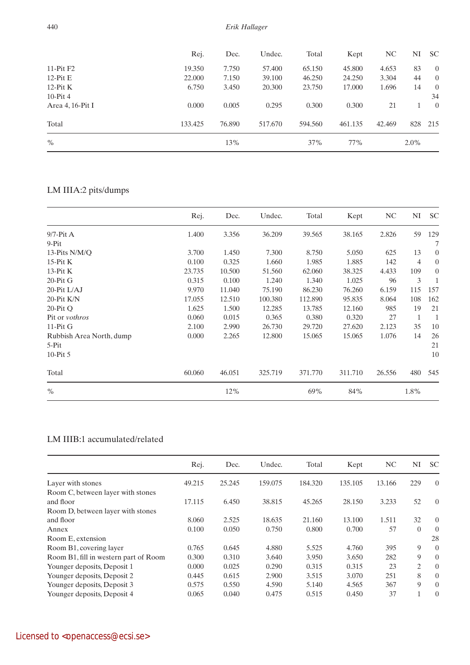|                  | Rej.    | Dec.   | Undec.  | Total   | Kept    | NC     | NI      | <b>SC</b>      |
|------------------|---------|--------|---------|---------|---------|--------|---------|----------------|
| $11-PitF2$       | 19.350  | 7.750  | 57.400  | 65.150  | 45.800  | 4.653  | 83      | $\overline{0}$ |
| $12-PitE$        | 22.000  | 7.150  | 39.100  | 46.250  | 24.250  | 3.304  | 44      | $\overline{0}$ |
| 12- $P$ it K     | 6.750   | 3.450  | 20.300  | 23.750  | 17.000  | 1.696  | 14      | $\overline{0}$ |
| $10-Pit4$        |         |        |         |         |         |        |         | 34             |
| Area 4, 16-Pit I | 0.000   | 0.005  | 0.295   | 0.300   | 0.300   | 21     |         | $\overline{0}$ |
| Total            | 133.425 | 76.890 | 517.670 | 594.560 | 461.135 | 42.469 | 828     | 215            |
| $\%$             |         | 13%    |         | 37%     | 77%     |        | $2.0\%$ |                |

# LM IIIA:2 pits/dumps

|                          | Rej.   | Dec.   | Undec.  | Total   | Kept    | NC     | NI             | <b>SC</b>        |
|--------------------------|--------|--------|---------|---------|---------|--------|----------------|------------------|
| $9/7$ -Pit A             | 1.400  | 3.356  | 36.209  | 39.565  | 38.165  | 2.826  | 59             | 129              |
| 9-Pit                    |        |        |         |         |         |        |                | 7                |
| 13-Pits N/M/O            | 3.700  | 1.450  | 7.300   | 8.750   | 5.050   | 625    | 13             | $\boldsymbol{0}$ |
| $15-Pit K$               | 0.100  | 0.325  | 1.660   | 1.985   | 1.885   | 142    | $\overline{4}$ | $\overline{0}$   |
| $13-Pit K$               | 23.735 | 10.500 | 51.560  | 62.060  | 38.325  | 4.433  | 109            | $\boldsymbol{0}$ |
| $20-PitG$                | 0.315  | 0.100  | 1.240   | 1.340   | 1.025   | 96     | 3              |                  |
| 20-Pit L/AJ              | 9.970  | 11.040 | 75.190  | 86.230  | 76.260  | 6.159  | 115            | 157              |
| 20-Pit K/N               | 17.055 | 12.510 | 100.380 | 112.890 | 95.835  | 8.064  | 108            | 162              |
| $20-PitO$                | 1.625  | 1.500  | 12.285  | 13.785  | 12.160  | 985    | 19             | 21               |
| Pit or <i>vothros</i>    | 0.060  | 0.015  | 0.365   | 0.380   | 0.320   | 27     | $\mathbf{1}$   | $\mathbf{1}$     |
| $11-PitG$                | 2.100  | 2.990  | 26.730  | 29.720  | 27.620  | 2.123  | 35             | 10               |
| Rubbish Area North, dump | 0.000  | 2.265  | 12.800  | 15.065  | 15.065  | 1.076  | 14             | 26               |
| 5-Pit                    |        |        |         |         |         |        |                | 21               |
| 10- $P$ it 5             |        |        |         |         |         |        |                | 10               |
| Total                    | 60.060 | 46.051 | 325.719 | 371.770 | 311.710 | 26.556 | 480            | 545              |
| $\frac{0}{0}$            |        | 12%    |         | 69%     | 84%     |        | 1.8%           |                  |

## LM IIIB:1 accumulated/related

|                                       | Rej.   | Dec.   | Undec.  | Total   | Kept    | N <sub>C</sub> | NI       | <b>SC</b>      |
|---------------------------------------|--------|--------|---------|---------|---------|----------------|----------|----------------|
| Layer with stones                     | 49.215 | 25.245 | 159.075 | 184.320 | 135.105 | 13.166         | 229      | $\Omega$       |
| Room C, between layer with stones     |        |        |         |         |         |                |          |                |
| and floor                             | 17.115 | 6.450  | 38.815  | 45.265  | 28.150  | 3.233          | 52       | $\theta$       |
| Room D, between layer with stones     |        |        |         |         |         |                |          |                |
| and floor                             | 8.060  | 2.525  | 18.635  | 21.160  | 13.100  | 1.511          | 32       | $\overline{0}$ |
| Annex                                 | 0.100  | 0.050  | 0.750   | 0.800   | 0.700   | 57             | $\Omega$ | $\overline{0}$ |
| Room E, extension                     |        |        |         |         |         |                |          | 28             |
| Room B1, covering layer               | 0.765  | 0.645  | 4.880   | 5.525   | 4.760   | 395            | 9        | $\overline{0}$ |
| Room B1, fill in western part of Room | 0.300  | 0.310  | 3.640   | 3.950   | 3.650   | 282            | 9        | $\overline{0}$ |
| Younger deposits, Deposit 1           | 0.000  | 0.025  | 0.290   | 0.315   | 0.315   | 23             | 2        | $\overline{0}$ |
| Younger deposits, Deposit 2           | 0.445  | 0.615  | 2.900   | 3.515   | 3.070   | 251            | 8        | $\overline{0}$ |
| Younger deposits, Deposit 3           | 0.575  | 0.550  | 4.590   | 5.140   | 4.565   | 367            | 9        | $\overline{0}$ |
| Younger deposits, Deposit 4           | 0.065  | 0.040  | 0.475   | 0.515   | 0.450   | 37             |          | $\theta$       |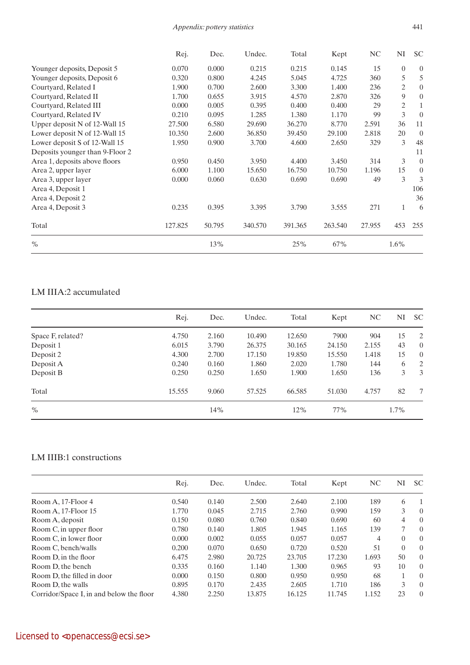### *Appendix: pottery statistics* 441

|                                 | Rej.    | Dec.   | Undec.  | Total   | Kept    | NC     | NI             | <b>SC</b>        |
|---------------------------------|---------|--------|---------|---------|---------|--------|----------------|------------------|
| Younger deposits, Deposit 5     | 0.070   | 0.000  | 0.215   | 0.215   | 0.145   | 15     | $\overline{0}$ | $\overline{0}$   |
| Younger deposits, Deposit 6     | 0.320   | 0.800  | 4.245   | 5.045   | 4.725   | 360    | 5              | 5                |
| Courtyard, Related I            | 1.900   | 0.700  | 2.600   | 3.300   | 1.400   | 236    | $\mathfrak{2}$ | $\boldsymbol{0}$ |
| Courtyard, Related II           | 1.700   | 0.655  | 3.915   | 4.570   | 2.870   | 326    | 9              | $\overline{0}$   |
| Courtyard, Related III          | 0.000   | 0.005  | 0.395   | 0.400   | 0.400   | 29     | 2              | 1                |
| Courtyard, Related IV           | 0.210   | 0.095  | 1.285   | 1.380   | 1.170   | 99     | 3              | $\overline{0}$   |
| Upper deposit N of 12-Wall 15   | 27.500  | 6.580  | 29.690  | 36.270  | 8.770   | 2.591  | 36             | 11               |
| Lower deposit N of 12-Wall 15   | 10.350  | 2.600  | 36.850  | 39.450  | 29.100  | 2.818  | 20             | $\overline{0}$   |
| Lower deposit S of 12-Wall 15   | 1.950   | 0.900  | 3.700   | 4.600   | 2.650   | 329    | 3              | 48               |
| Deposits younger than 9-Floor 2 |         |        |         |         |         |        |                | 11               |
| Area 1, deposits above floors   | 0.950   | 0.450  | 3.950   | 4.400   | 3.450   | 314    | $\overline{3}$ | $\overline{0}$   |
| Area 2, upper layer             | 6.000   | 1.100  | 15.650  | 16.750  | 10.750  | 1.196  | 15             | $\overline{0}$   |
| Area 3, upper layer             | 0.000   | 0.060  | 0.630   | 0.690   | 0.690   | 49     | 3              | 3                |
| Area 4, Deposit 1               |         |        |         |         |         |        |                | 106              |
| Area 4, Deposit 2               |         |        |         |         |         |        |                | 36               |
| Area 4, Deposit 3               | 0.235   | 0.395  | 3.395   | 3.790   | 3.555   | 271    | $\mathbf{1}$   | 6                |
| Total                           | 127.825 | 50.795 | 340.570 | 391.365 | 263.540 | 27.955 | 453            | 255              |
| $\frac{0}{0}$                   |         | 13%    |         | 25%     | 67%     |        | 1.6%           |                  |

## LM IIIA:2 accumulated

|                   | Rej.   | Dec.  | Undec. | Total  | Kept   | NC.   | NI   | <b>SC</b>      |
|-------------------|--------|-------|--------|--------|--------|-------|------|----------------|
| Space F, related? | 4.750  | 2.160 | 10.490 | 12.650 | 7900   | 904   | 15   | 2              |
| Deposit 1         | 6.015  | 3.790 | 26.375 | 30.165 | 24.150 | 2.155 | 43   | $\overline{0}$ |
| Deposit 2         | 4.300  | 2.700 | 17.150 | 19.850 | 15.550 | 1.418 | 15   | $\overline{0}$ |
| Deposit A         | 0.240  | 0.160 | 1.860  | 2.020  | 1.780  | 144   | 6    | 2              |
| Deposit B         | 0.250  | 0.250 | 1.650  | 1.900  | 1.650  | 136   | 3    | 3              |
| Total             | 15.555 | 9.060 | 57.525 | 66.585 | 51.030 | 4.757 | 82   | 7              |
| $\%$              |        | 14%   |        | 12%    | 77%    |       | 1.7% |                |
|                   |        |       |        |        |        |       |      |                |

## LM IIIB:1 constructions

|                                          | Rej.  | Dec.  | Undec. | Total  | Kept   | NC    | NI       | <b>SC</b> |
|------------------------------------------|-------|-------|--------|--------|--------|-------|----------|-----------|
| Room A, 17-Floor 4                       | 0.540 | 0.140 | 2.500  | 2.640  | 2.100  | 189   | 6        | 1         |
| Room A, 17-Floor 15                      | 1.770 | 0.045 | 2.715  | 2.760  | 0.990  | 159   | 3        | $\Omega$  |
| Room A, deposit                          | 0.150 | 0.080 | 0.760  | 0.840  | 0.690  | 60    | 4        | $\Omega$  |
| Room C, in upper floor                   | 0.780 | 0.140 | 1.805  | 1.945  | 1.165  | 139   |          | $\Omega$  |
| Room C, in lower floor                   | 0.000 | 0.002 | 0.055  | 0.057  | 0.057  | 4     | 0        | $\Omega$  |
| Room C, bench/walls                      | 0.200 | 0.070 | 0.650  | 0.720  | 0.520  | 51    | $\Omega$ | $\Omega$  |
| Room D, in the floor                     | 6.475 | 2.980 | 20.725 | 23.705 | 17.230 | 1.693 | 50       | $\Omega$  |
| Room D, the bench                        | 0.335 | 0.160 | 1.140  | 1.300  | 0.965  | 93    | 10       | $\Omega$  |
| Room D, the filled in door               | 0.000 | 0.150 | 0.800  | 0.950  | 0.950  | 68    |          | $\Omega$  |
| Room D, the walls                        | 0.895 | 0.170 | 2.435  | 2.605  | 1.710  | 186   | 3        | $\Omega$  |
| Corridor/Space I, in and below the floor | 4.380 | 2.250 | 13.875 | 16.125 | 11.745 | 1.152 | 23       | $\Omega$  |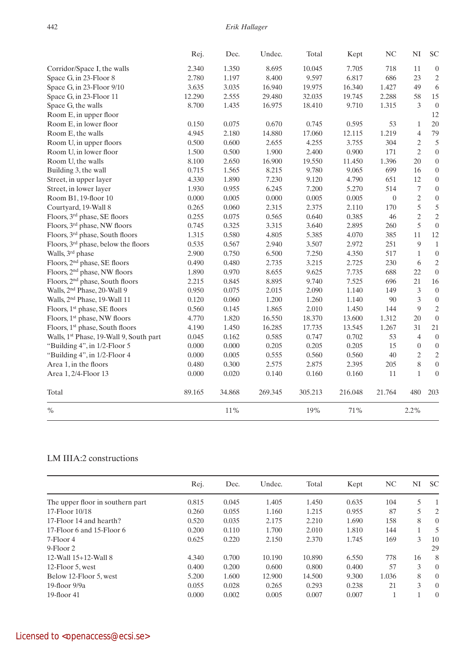|                                             | Rej.   | Dec.   | Undec.  | Total   | Kept    | NC               | $\mathbf{N}\mathbf{I}$ | <b>SC</b>        |
|---------------------------------------------|--------|--------|---------|---------|---------|------------------|------------------------|------------------|
| Corridor/Space I, the walls                 | 2.340  | 1.350  | 8.695   | 10.045  | 7.705   | 718              | 11                     | $\overline{0}$   |
| Space G, in 23-Floor 8                      | 2.780  | 1.197  | 8.400   | 9.597   | 6.817   | 686              | 23                     | $\overline{2}$   |
| Space G, in 23-Floor 9/10                   | 3.635  | 3.035  | 16.940  | 19.975  | 16.340  | 1.427            | 49                     | 6                |
| Space G, in 23-Floor 11                     | 12.290 | 2.555  | 29.480  | 32.035  | 19.745  | 2.288            | 58                     | 15               |
| Space G, the walls                          | 8.700  | 1.435  | 16.975  | 18.410  | 9.710   | 1.315            | 3                      | $\boldsymbol{0}$ |
| Room E, in upper floor                      |        |        |         |         |         |                  |                        | 12               |
| Room E, in lower floor                      | 0.150  | 0.075  | 0.670   | 0.745   | 0.595   | 53               | $\mathbf{1}$           | 20               |
| Room E, the walls                           | 4.945  | 2.180  | 14.880  | 17.060  | 12.115  | 1.219            | 4                      | 79               |
| Room U, in upper floors                     | 0.500  | 0.600  | 2.655   | 4.255   | 3.755   | 304              | $\mathfrak{2}$         | 5                |
| Room U, in lower floor                      | 1.500  | 0.500  | 1.900   | 2.400   | 0.900   | 171              | $\mathbf{2}$           | $\boldsymbol{0}$ |
| Room U, the walls                           | 8.100  | 2.650  | 16.900  | 19.550  | 11.450  | 1.396            | 20                     | $\overline{0}$   |
| Building 3, the wall                        | 0.715  | 1.565  | 8.215   | 9.780   | 9.065   | 699              | 16                     | $\boldsymbol{0}$ |
| Street, in upper layer                      | 4.330  | 1.890  | 7.230   | 9.120   | 4.790   | 651              | 12                     | $\boldsymbol{0}$ |
| Street, in lower layer                      | 1.930  | 0.955  | 6.245   | 7.200   | 5.270   | 514              | 7                      | $\boldsymbol{0}$ |
| Room B1, 19-floor 10                        | 0.000  | 0.005  | 0.000   | 0.005   | 0.005   | $\boldsymbol{0}$ | $\mathbf{2}$           | $\boldsymbol{0}$ |
| Courtyard, 19-Wall 8                        | 0.265  | 0.060  | 2.315   | 2.375   | 2.110   | 170              | 5                      | 5                |
| Floors, 3rd phase, SE floors                | 0.255  | 0.075  | 0.565   | 0.640   | 0.385   | 46               | $\overline{c}$         | $\overline{2}$   |
| Floors, 3rd phase, NW floors                | 0.745  | 0.325  | 3.315   | 3.640   | 2.895   | 260              | 5                      | $\boldsymbol{0}$ |
| Floors, 3 <sup>rd</sup> phase, South floors | 1.315  | 0.580  | 4.805   | 5.385   | 4.070   | 385              | 11                     | 12               |
| Floors, 3rd phase, below the floors         | 0.535  | 0.567  | 2.940   | 3.507   | 2.972   | 251              | 9                      | $1\,$            |
| Walls, 3 <sup>rd</sup> phase                | 2.900  | 0.750  | 6.500   | 7.250   | 4.350   | 517              | $\mathbf{1}$           | $\boldsymbol{0}$ |
| Floors, 2 <sup>nd</sup> phase, SE floors    | 0.490  | 0.480  | 2.735   | 3.215   | 2.725   | 230              | 6                      | $\sqrt{2}$       |
| Floors, 2 <sup>nd</sup> phase, NW floors    | 1.890  | 0.970  | 8.655   | 9.625   | 7.735   | 688              | 22                     | $\overline{0}$   |
| Floors, 2 <sup>nd</sup> phase, South floors | 2.215  | 0.845  | 8.895   | 9.740   | 7.525   | 696              | $21\,$                 | 16               |
| Walls, 2 <sup>nd</sup> Phase, 20-Wall 9     | 0.950  | 0.075  | 2.015   | 2.090   | 1.140   | 149              | $\mathfrak{Z}$         | $\boldsymbol{0}$ |
| Walls, 2 <sup>nd</sup> Phase, 19-Wall 11    | 0.120  | 0.060  | 1.200   | 1.260   | 1.140   | 90               | 3                      | $\boldsymbol{0}$ |
| Floors, 1 <sup>st</sup> phase, SE floors    | 0.560  | 0.145  | 1.865   | 2.010   | 1.450   | 144              | 9                      | $\overline{2}$   |
| Floors, 1 <sup>st</sup> phase, NW floors    | 4.770  | 1.820  | 16.550  | 18.370  | 13.600  | 1.312            | 20                     | $\boldsymbol{0}$ |
| Floors, 1 <sup>st</sup> phase, South floors | 4.190  | 1.450  | 16.285  | 17.735  | 13.545  | 1.267            | 31                     | 21               |
| Walls, 1st Phase, 19-Wall 9, South part     | 0.045  | 0.162  | 0.585   | 0.747   | 0.702   | 53               | $\overline{4}$         | $\boldsymbol{0}$ |
| "Building 4", in 1/2-Floor 5                | 0.000  | 0.000  | 0.205   | 0.205   | 0.205   | 15               | $\boldsymbol{0}$       | $\boldsymbol{0}$ |
| "Building 4", in 1/2-Floor 4                | 0.000  | 0.005  | 0.555   | 0.560   | 0.560   | 40               | $\mathbf{2}$           | $\sqrt{2}$       |
| Area 1, in the floors                       | 0.480  | 0.300  | 2.575   | 2.875   | 2.395   | 205              | 8                      | $\boldsymbol{0}$ |
| Area 1, 2/4-Floor 13                        | 0.000  | 0.020  | 0.140   | 0.160   | 0.160   | 11               | $\mathbf{1}$           | $\boldsymbol{0}$ |
| Total                                       | 89.165 | 34.868 | 269.345 | 305.213 | 216.048 | 21.764           | 480                    | 203              |
| $\%$                                        |        | 11%    |         | 19%     | 71%     |                  | 2.2%                   |                  |

## LM IIIA:2 constructions

|                                  | Rej.  | Dec.  | Undec. | Total  | Kept  | NC    | NI | <b>SC</b>      |
|----------------------------------|-------|-------|--------|--------|-------|-------|----|----------------|
| The upper floor in southern part | 0.815 | 0.045 | 1.405  | 1.450  | 0.635 | 104   | 5  |                |
| 17-Floor 10/18                   | 0.260 | 0.055 | 1.160  | 1.215  | 0.955 | 87    | 5  | 2              |
| 17-Floor 14 and hearth?          | 0.520 | 0.035 | 2.175  | 2.210  | 1.690 | 158   | 8  | $\overline{0}$ |
| 17-Floor 6 and 15-Floor 6        | 0.200 | 0.110 | 1.700  | 2.010  | 1.810 | 144   |    | 5              |
| 7-Floor 4                        | 0.625 | 0.220 | 2.150  | 2.370  | 1.745 | 169   | 3  | 10             |
| $9$ -Floor 2                     |       |       |        |        |       |       |    | 29             |
| 12-Wall 15+12-Wall 8             | 4.340 | 0.700 | 10.190 | 10.890 | 6.550 | 778   | 16 | 8              |
| 12-Floor 5, west                 | 0.400 | 0.200 | 0.600  | 0.800  | 0.400 | .57   | 3  | $\Omega$       |
| Below 12-Floor 5, west           | 5.200 | 1.600 | 12.900 | 14.500 | 9.300 | 1.036 | 8  | $\Omega$       |
| 19-floor $9/9a$                  | 0.055 | 0.028 | 0.265  | 0.293  | 0.238 | 21    | 3  | $\Omega$       |
| $19$ -floor 41                   | 0.000 | 0.002 | 0.005  | 0.007  | 0.007 |       |    | $\Omega$       |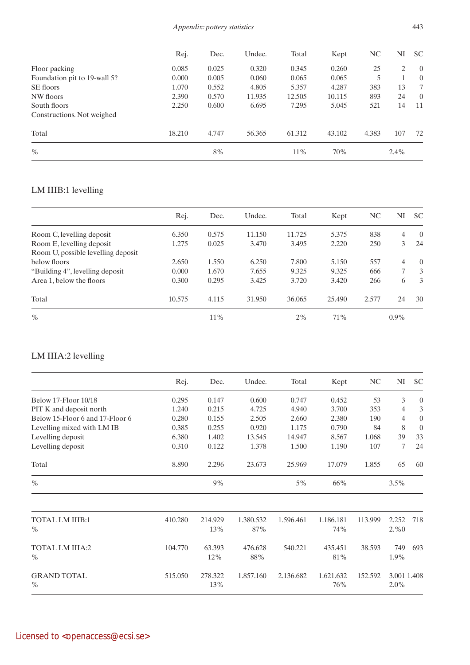### *Appendix: pottery statistics* 443

|                              | Rej.   | Dec.  | Undec. | Total  | Kept   | NC.   | NI      | <b>SC</b>      |
|------------------------------|--------|-------|--------|--------|--------|-------|---------|----------------|
| Floor packing                | 0.085  | 0.025 | 0.320  | 0.345  | 0.260  | 25    | 2       | $\overline{0}$ |
| Foundation pit to 19-wall 5? | 0.000  | 0.005 | 0.060  | 0.065  | 0.065  | 5     |         | $\Omega$       |
| SE floors                    | 1.070  | 0.552 | 4.805  | 5.357  | 4.287  | 383   | 13      | 7              |
| NW floors                    | 2.390  | 0.570 | 11.935 | 12.505 | 10.115 | 893   | 24      | $\overline{0}$ |
| South floors                 | 2.250  | 0.600 | 6.695  | 7.295  | 5.045  | 521   | 14      | 11             |
| Constructions. Not weighed   |        |       |        |        |        |       |         |                |
| Total                        | 18.210 | 4.747 | 56.365 | 61.312 | 43.102 | 4.383 | 107     | 72             |
| $\%$                         |        | 8%    |        | 11%    | 70%    |       | $2.4\%$ |                |

# LM IIIB:1 levelling

|                                    | Rej.   | Dec.  | Undec. | Total  | Kept   | NC.   | NI             | <b>SC</b>      |
|------------------------------------|--------|-------|--------|--------|--------|-------|----------------|----------------|
| Room C, levelling deposit          | 6.350  | 0.575 | 11.150 | 11.725 | 5.375  | 838   | $\overline{4}$ | $\overline{0}$ |
| Room E, levelling deposit          | 1.275  | 0.025 | 3.470  | 3.495  | 2.220  | 250   | 3              | 24             |
| Room U, possible levelling deposit |        |       |        |        |        |       |                |                |
| below floors                       | 2.650  | 1.550 | 6.250  | 7.800  | 5.150  | 557   | $\overline{4}$ | $\theta$       |
| "Building 4", levelling deposit"   | 0.000  | 1.670 | 7.655  | 9.325  | 9.325  | 666   | $\tau$         | 3              |
| Area 1, below the floors           | 0.300  | 0.295 | 3.425  | 3.720  | 3.420  | 266   | 6              | 3              |
| Total                              | 10.575 | 4.115 | 31.950 | 36.065 | 25.490 | 2.577 | 24             | 30             |
| $\%$                               |        | 11%   |        | 2%     | 71%    |       | $0.9\%$        |                |

## LM IIIA:2 levelling

|                                     | Rej.    | Dec.           | Undec.    | Total     | Kept             | NC      | NI                  | <b>SC</b>        |
|-------------------------------------|---------|----------------|-----------|-----------|------------------|---------|---------------------|------------------|
| Below 17-Floor 10/18                | 0.295   | 0.147          | 0.600     | 0.747     | 0.452            | 53      | 3                   | $\boldsymbol{0}$ |
| PIT K and deposit north             | 1.240   | 0.215          | 4.725     | 4.940     | 3.700            | 353     | 4                   | 3                |
| Below 15-Floor 6 and 17-Floor 6     | 0.280   | 0.155          | 2.505     | 2.660     | 2.380            | 190     | 4                   | $\boldsymbol{0}$ |
| Levelling mixed with LM IB          | 0.385   | 0.255          | 0.920     | 1.175     | 0.790            | 84      | 8                   | $\mathbf{0}$     |
| Levelling deposit                   | 6.380   | 1.402          | 13.545    | 14.947    | 8.567            | 1.068   | 39                  | 33               |
| Levelling deposit                   | 0.310   | 0.122          | 1.378     | 1.500     | 1.190            | 107     | 7                   | 24               |
| Total                               | 8.890   | 2.296          | 23.673    | 25.969    | 17.079           | 1.855   | 65                  | 60               |
| $\%$                                |         | $9\%$          |           | 5%        | 66%              |         | 3.5%                |                  |
|                                     |         |                |           |           |                  |         |                     |                  |
| TOTAL LM IIIB:1                     | 410.280 | 214.929        | 1.380.532 | 1.596.461 | 1.186.181        | 113.999 | 2.252               | 718              |
| $\frac{0}{0}$                       |         | 13%            | 87%       |           | 74%              |         | $2. \%0$            |                  |
| <b>TOTAL LM IIIA:2</b>              | 104.770 | 63.393         | 476.628   | 540.221   | 435.451          | 38.593  | 749                 | 693              |
| $\%$                                |         | 12%            | 88%       |           | 81%              |         | 1.9%                |                  |
| <b>GRAND TOTAL</b><br>$\frac{0}{0}$ | 515.050 | 278.322<br>13% | 1.857.160 | 2.136.682 | 1.621.632<br>76% | 152.592 | 3.001 1.408<br>2.0% |                  |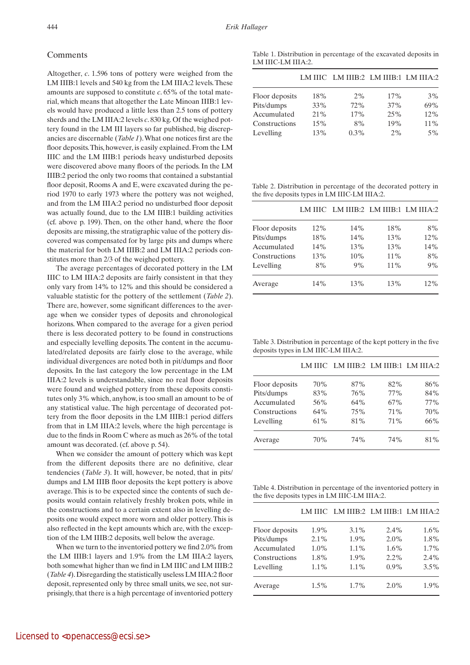#### Comments

Altogether, *c*. 1.596 tons of pottery were weighed from the LM IIIB:1 levels and 540 kg from the LM IIIA:2 levels. These amounts are supposed to constitute *c*. 65% of the total material, which means that altogether the Late Minoan IIIB:1 levels would have produced a little less than 2.5 tons of pottery sherds and the LM IIIA:2 levels *c*. 830 kg. Of the weighed pottery found in the LM III layers so far published, big discrepancies are discernable (*Table 1*). What one notices first are the floor deposits. This, however, is easily explained. From the LM IIIC and the LM IIIB:1 periods heavy undisturbed deposits were discovered above many floors of the periods. In the LM IIIB:2 period the only two rooms that contained a substantial floor deposit, Rooms A and E, were excavated during the period 1970 to early 1973 where the pottery was not weighed, and from the LM IIIA:2 period no undisturbed floor deposit was actually found, due to the LM IIIB:1 building activities (cf. above p. 199). Then, on the other hand, where the floor deposits are missing, the stratigraphic value of the pottery discovered was compensated for by large pits and dumps where the material for both LM IIIB:2 and LM IIIA:2 periods constitutes more than 2/3 of the weighed pottery.

The average percentages of decorated pottery in the LM IIIC to LM IIIA:2 deposits are fairly consistent in that they only vary from 14% to 12% and this should be considered a valuable statistic for the pottery of the settlement (*Table 2*). There are, however, some significant differences to the average when we consider types of deposits and chronological horizons. When compared to the average for a given period there is less decorated pottery to be found in constructions and especially levelling deposits. The content in the accumulated/related deposits are fairly close to the average, while individual divergences are noted both in pit/dumps and floor deposits. In the last category the low percentage in the LM IIIA:2 levels is understandable, since no real floor deposits were found and weighed pottery from these deposits constitutes only 3% which, anyhow, is too small an amount to be of any statistical value. The high percentage of decorated pottery from the floor deposits in the LM IIIB:1 period differs from that in LM IIIA:2 levels, where the high percentage is due to the finds in Room C where as much as 26% of the total amount was decorated. (cf. above p. 54).

When we consider the amount of pottery which was kept from the different deposits there are no definitive, clear tendencies (*Table 3*). It will, however, be noted, that in pits/ dumps and LM IIIB floor deposits the kept pottery is above average. This is to be expected since the contents of such deposits would contain relatively freshly broken pots, while in the constructions and to a certain extent also in levelling deposits one would expect more worn and older pottery. This is also reflected in the kept amounts which are, with the exception of the LM IIIB:2 deposits, well below the average.

When we turn to the inventoried pottery we find 2.0% from the LM IIIB:1 layers and 1.9% from the LM IIIA:2 layers, both somewhat higher than we find in LM IIIC and LM IIIB:2 (*Table 4*). Disregarding the statistically useless LM IIIA:2 floor deposit, represented only by three small units, we see, not surprisingly, that there is a high percentage of inventoried pottery

Table 1. Distribution in percentage of the excavated deposits in LM IIIC-LM IIIA:2.

|                |        | LM IIIC LM IIIB:2 LM IIIB:1 LM IIIA:2 |     |        |
|----------------|--------|---------------------------------------|-----|--------|
| Floor deposits | 18%    | 2%                                    | 17% | 3%     |
| Pits/dumps     | 33%    | 72%                                   | 37% | 69%    |
| Accumulated    | $21\%$ | 17%                                   | 25% | 12%    |
| Constructions  | 15%    | 8%                                    | 19% | $11\%$ |
| Levelling      | 13%    | $0.3\%$                               | 2%  | $5\%$  |

Table 2. Distribution in percentage of the decorated pottery in the five deposits types in LM IIIC-LM IIIA:2.

|                |     | LM IIIC LM IIIB:2 LM IIIB:1 LM IIIA:2 |        |     |
|----------------|-----|---------------------------------------|--------|-----|
| Floor deposits | 12% | 14%                                   | 18%    | 8%  |
| Pits/dumps     | 18% | 14%                                   | 13%    | 12% |
| Accumulated    | 14% | 13%                                   | 13%    | 14% |
| Constructions  | 13% | 10%                                   | $11\%$ | 8%  |
| Levelling      | 8%  | 9%                                    | $11\%$ | 9%  |
| Average        | 14% | 13%                                   | 13%    | 12% |

Table 3. Distribution in percentage of the kept pottery in the five deposits types in LM IIIC-LM IIIA:2.

|                |     | LM IIIC LM IIIB:2 LM IIIB:1 LM IIIA:2 |     |      |
|----------------|-----|---------------------------------------|-----|------|
| Floor deposits | 70% | 87%                                   | 82% | 86%  |
| Pits/dumps     | 83% | 76%                                   | 77% | 84%  |
| Accumulated    | 56% | 64%                                   | 67% | 77%  |
| Constructions  | 64% | 75%                                   | 71% | 70%  |
| Levelling      | 61% | 81%                                   | 71% | 66%  |
| Average        | 70% | 74%                                   | 74% | 81\% |

Table 4. Distribution in percentage of the inventoried pottery in the five deposits types in LM IIIC-LM IIIA:2.

|                |         | LM IIIC LM IIIB:2 LM IIIB:1 LM IIIA:2 |         |         |
|----------------|---------|---------------------------------------|---------|---------|
| Floor deposits | 1.9%    | $3.1\%$                               | 2.4%    | $1.6\%$ |
| Pits/dumps     | 2.1%    | 1.9%                                  | $2.0\%$ | 1.8%    |
| Accumulated    | $1.0\%$ | $1.1\%$                               | $1.6\%$ | 1.7%    |
| Constructions  | 1.8%    | 1.9%                                  | $2.2\%$ | 2.4%    |
| Levelling      | $1.1\%$ | $1.1\%$                               | $0.9\%$ | $3.5\%$ |
| Average        | $1.5\%$ | 1.7%                                  | $2.0\%$ | 1.9%    |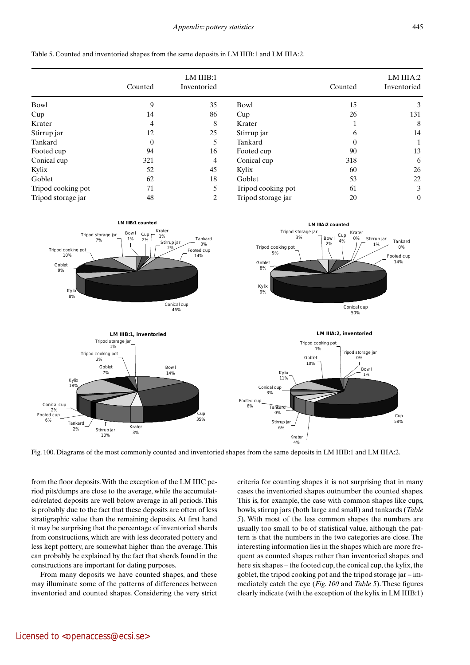|                    | Counted | LM IIIB:1<br>Inventoried |                    | Counted  | LM IIIA:2<br>Inventoried |
|--------------------|---------|--------------------------|--------------------|----------|--------------------------|
| Bowl               | 9       | 35                       | Bowl               | 15       | 3                        |
| Cup                | 14      | 86                       | Cup                | 26       | 131                      |
| Krater             | 4       | 8                        | Krater             |          | 8                        |
| Stirrup jar        | 12      | 25                       | Stirrup jar        | b        | 14                       |
| Tankard            | 0       | 5                        | Tankard            | $\Omega$ |                          |
| Footed cup         | 94      | 16                       | Footed cup         | 90       | 13                       |
| Conical cup        | 321     | 4                        | Conical cup        | 318      | 6                        |
| Kylix              | 52      | 45                       | Kylix              | 60       | 26                       |
| Goblet             | 62      | 18                       | Goblet             | 53       | 22                       |
| Tripod cooking pot | 71      | 5                        | Tripod cooking pot | 61       | 3                        |
| Tripod storage jar | 48      |                          | Tripod storage jar | 20       | $\theta$                 |

Table 5. Counted and inventoried shapes from the same deposits in LM IIIB:1 and LM IIIA:2.



Fig. 100. Diagrams of the most commonly counted and inventoried shapes from the same deposits in LM IIIB:1 and LM IIIA:2.

from the floor deposits. With the exception of the LM IIIC period pits/dumps are close to the average, while the accumulated/related deposits are well below average in all periods. This is probably due to the fact that these deposits are often of less stratigraphic value than the remaining deposits. At first hand it may be surprising that the percentage of inventoried sherds from constructions, which are with less decorated pottery and less kept pottery, are somewhat higher than the average. This can probably be explained by the fact that sherds found in the constructions are important for dating purposes.

From many deposits we have counted shapes, and these may illuminate some of the patterns of differences between inventoried and counted shapes. Considering the very strict criteria for counting shapes it is not surprising that in many cases the inventoried shapes outnumber the counted shapes. This is, for example, the case with common shapes like cups, bowls, stirrup jars (both large and small) and tankards (*Table 5*). With most of the less common shapes the numbers are usually too small to be of statistical value, although the pattern is that the numbers in the two categories are close. The interesting information lies in the shapes which are more frequent as counted shapes rather than inventoried shapes and here six shapes – the footed cup, the conical cup, the kylix, the goblet, the tripod cooking pot and the tripod storage jar – immediately catch the eye (*Fig. 100* and *Table 5*). These figures clearly indicate (with the exception of the kylix in LM IIIB:1)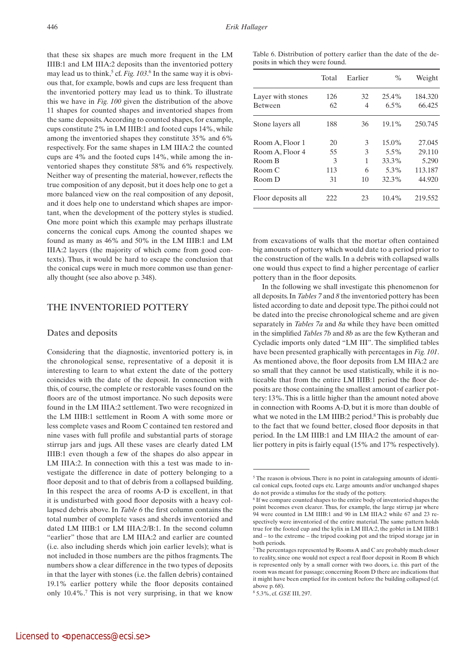that these six shapes are much more frequent in the LM IIIB:1 and LM IIIA:2 deposits than the inventoried pottery may lead us to think,<sup>5</sup> cf. *Fig.* 103.<sup>6</sup> In the same way it is obvious that, for example, bowls and cups are less frequent than the inventoried pottery may lead us to think. To illustrate this we have in *Fig. 100* given the distribution of the above 11 shapes for counted shapes and inventoried shapes from the same deposits. According to counted shapes, for example, cups constitute 2% in LM IIIB:1 and footed cups 14%, while among the inventoried shapes they constitute 35% and 6% respectively. For the same shapes in LM IIIA:2 the counted cups are 4% and the footed cups 14%, while among the inventoried shapes they constitute 58% and 6% respectively. Neither way of presenting the material, however, reflects the true composition of any deposit, but it does help one to get a more balanced view on the real composition of any deposit, and it does help one to understand which shapes are important, when the development of the pottery styles is studied. One more point which this example may perhaps illustrate concerns the conical cups. Among the counted shapes we found as many as 46% and 50% in the LM IIIB:1 and LM IIIA:2 layers (the majority of which come from good contexts). Thus, it would be hard to escape the conclusion that the conical cups were in much more common use than generally thought (see also above p. 348).

#### THE INVENTORIED POTTERY

#### Dates and deposits

Considering that the diagnostic, inventoried pottery is, in the chronological sense, representative of a deposit it is interesting to learn to what extent the date of the pottery coincides with the date of the deposit. In connection with this, of course, the complete or restorable vases found on the floors are of the utmost importance. No such deposits were found in the LM IIIA:2 settlement. Two were recognized in the LM IIIB:1 settlement in Room A with some more or less complete vases and Room C contained ten restored and nine vases with full profile and substantial parts of storage stirrup jars and jugs. All these vases are clearly dated LM IIIB:1 even though a few of the shapes do also appear in LM IIIA:2. In connection with this a test was made to investigate the difference in date of pottery belonging to a floor deposit and to that of debris from a collapsed building. In this respect the area of rooms A-D is excellent, in that it is undisturbed with good floor deposits with a heavy collapsed debris above. In *Table 6* the first column contains the total number of complete vases and sherds inventoried and dated LM IIIB:1 or LM IIIA:2/B:1. In the second column "earlier" those that are LM IIIA:2 and earlier are counted (i.e. also including sherds which join earlier levels); what is not included in those numbers are the pithos fragments. The numbers show a clear difference in the two types of deposits in that the layer with stones (i.e. the fallen debris) contained 19.1% earlier pottery while the floor deposits contained only 10.4%.7 This is not very surprising, in that we know Table 6. Distribution of pottery earlier than the date of the deposits in which they were found.

|                                                                  | Total                      | Earlier                | $\%$                                       | Weight                                         |
|------------------------------------------------------------------|----------------------------|------------------------|--------------------------------------------|------------------------------------------------|
| Layer with stones<br><b>Between</b>                              | 126<br>62                  | 32<br>4                | $25.4\%$<br>$6.5\%$                        | 184.320<br>66.425                              |
| Stone layers all                                                 | 188                        | 36                     | 19.1%                                      | 250.745                                        |
| Room A, Floor 1<br>Room A, Floor 4<br>Room B<br>Room C<br>Room D | 20<br>55<br>3<br>113<br>31 | 3<br>3<br>1<br>6<br>10 | $15.0\%$<br>5.5%<br>33.3%<br>5.3%<br>32.3% | 27.045<br>29.110<br>5.290<br>113.187<br>44.920 |
| Floor deposits all                                               | 222                        | 23                     | $10.4\%$                                   | 219.552                                        |

from excavations of walls that the mortar often contained big amounts of pottery which would date to a period prior to the construction of the walls. In a debris with collapsed walls one would thus expect to find a higher percentage of earlier pottery than in the floor deposits.

In the following we shall investigate this phenomenon for all deposits. In *Tables 7* and *8* the inventoried pottery has been listed according to date and deposit type. The pithoi could not be dated into the precise chronological scheme and are given separately in *Tables 7a* and *8a* while they have been omitted in the simplified *Tables 7b* and *8b* as are the few Kytheran and Cycladic imports only dated "LM III". The simplified tables have been presented graphically with percentages in *Fig. 101*. As mentioned above, the floor deposits from LM IIIA:2 are so small that they cannot be used statistically, while it is noticeable that from the entire LM IIIB:1 period the floor deposits are those containing the smallest amount of earlier pottery: 13%. This is a little higher than the amount noted above in connection with Rooms A-D, but it is more than double of what we noted in the LM IIIB:2 period.<sup>8</sup> This is probably due to the fact that we found better, closed floor deposits in that period. In the LM IIIB:1 and LM IIIA:2 the amount of earlier pottery in pits is fairly equal (15% and 17% respectively).

<sup>&</sup>lt;sup>5</sup> The reason is obvious. There is no point in cataloguing amounts of identical conical cups, footed cups etc. Large amounts and/or unchanged shapes do not provide a stimulus for the study of the pottery.

<sup>&</sup>lt;sup>6</sup> If we compare counted shapes to the entire body of inventoried shapes the point becomes even clearer. Thus, for example, the large stirrup jar where 94 were counted in LM IIIB:1 and 90 in LM IIIA:2 while 67 and 23 respectively were inventoried of the entire material. The same pattern holds true for the footed cup and the kylix in LM IIIA:2, the goblet in LM IIIB:1 and – to the extreme – the tripod cooking pot and the tripod storage jar in both periods.

<sup>7</sup> The percentages represented by Rooms A and C are probably much closer to reality, since one would not expect a real floor deposit in Room B which is represented only by a small corner with two doors, i.e. this part of the room was meant for passage; concerning Room D there are indications that it might have been emptied for its content before the building collapsed (cf. above p. 68).

<sup>8</sup> 5.3%, cf. *GSE* III, 297.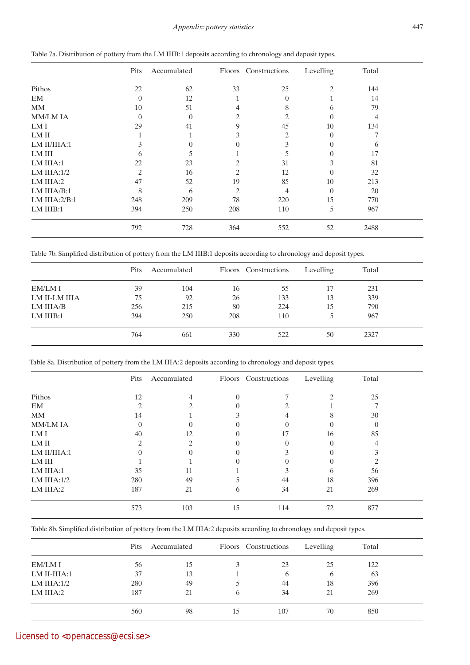### *Appendix: pottery statistics* 447

|                  | Pits           | Accumulated    |          | Floors Constructions | Levelling | Total |  |
|------------------|----------------|----------------|----------|----------------------|-----------|-------|--|
| Pithos           | 22             | 62             | 33       | 25                   | 2         | 144   |  |
| EM               | $\Omega$       | 12             |          | $\Omega$             |           | 14    |  |
| MM               | 10             | 51             | 4        | 8                    | 6         | 79    |  |
| <b>MM/LM IA</b>  | $\Omega$       | $\overline{0}$ | 2        | 2                    | $\Omega$  | 4     |  |
| LM I             | 29             | 41             | 9        | 45                   | 10        | 134   |  |
| LM II            |                |                | 3        | 2                    | $\Omega$  |       |  |
| LM II/IIIA:1     | 3              | $\theta$       | $\Omega$ | 3                    | $\Omega$  | 6     |  |
| LM III           | 6              | 5              |          | 5                    | 0         | 17    |  |
| LM IIIA:1        | 22             | 23             |          | 31                   | 3         | 81    |  |
| LM IIIA: $1/2$   | $\overline{2}$ | 16             |          | 12                   | $\Omega$  | 32    |  |
| LM IIIA:2        | 47             | 52             | 19       | 85                   | 10        | 213   |  |
| LM IIIA/B:1      | 8              | 6              | 2        | 4                    | $\Omega$  | 20    |  |
| LM IIIA: $2/B:1$ | 248            | 209            | 78       | 220                  | 15        | 770   |  |
| LM IIIB:1        | 394            | 250            | 208      | 110                  | 5         | 967   |  |
|                  | 792            | 728            | 364      | 552                  | 52        | 2488  |  |

| Table 7a. Distribution of pottery from the LM IIIB:1 deposits according to chronology and deposit types. |  |  |  |  |  |
|----------------------------------------------------------------------------------------------------------|--|--|--|--|--|
|----------------------------------------------------------------------------------------------------------|--|--|--|--|--|

Table 7b. Simplified distribution of pottery from the LM IIIB:1 deposits according to chronology and deposit types.

|               | Pits | Accumulated |     | Floors Constructions | Levelling | Total |  |
|---------------|------|-------------|-----|----------------------|-----------|-------|--|
| EM/LM I       | 39   | 104         | 16  | 55                   | 17        | 231   |  |
| LM II-LM IIIA | 75   | 92          | 26  | 133                  | 13        | 339   |  |
| LM IIIA/B     | 256  | 215         | 80  | 224                  | 15        | 790   |  |
| LM IIIB:1     | 394  | 250         | 208 | 110                  |           | 967   |  |
|               | 764  | 661         | 330 | 522                  | 50        | 2327  |  |

Table 8a. Distribution of pottery from the LM IIIA:2 deposits according to chronology and deposit types.

|                 | Pits                          | Accumulated |          | Floors Constructions | Levelling                                                                                                                                                       | Total    |  |
|-----------------|-------------------------------|-------------|----------|----------------------|-----------------------------------------------------------------------------------------------------------------------------------------------------------------|----------|--|
| Pithos          | 12                            | 4           | $\theta$ |                      | $\mathcal{D}_{\mathcal{L}}^{\mathcal{L}}(\mathcal{L})=\mathcal{L}_{\mathcal{L}}^{\mathcal{L}}(\mathcal{L})\mathcal{L}_{\mathcal{L}}^{\mathcal{L}}(\mathcal{L})$ | 25       |  |
| EM              | $\mathfrak{D}_{\mathfrak{p}}$ |             |          |                      |                                                                                                                                                                 |          |  |
| MM              | 14                            |             |          |                      | 8                                                                                                                                                               | 30       |  |
| <b>MM/LM IA</b> |                               | $\theta$    |          | $\theta$             | $\theta$                                                                                                                                                        | $\Omega$ |  |
| LM I            | 40                            | 12          |          | 17                   | 16                                                                                                                                                              | 85       |  |
| LM II           | 2                             | 2           | 0        |                      | 0                                                                                                                                                               |          |  |
| LM II/IIIA:1    |                               |             |          |                      |                                                                                                                                                                 |          |  |
| LM III          |                               |             |          |                      |                                                                                                                                                                 |          |  |
| LM IIIA:1       | 35                            | 11          |          | 3                    | 6                                                                                                                                                               | 56       |  |
| LM IIIA: $1/2$  | 280                           | 49          |          | 44                   | 18                                                                                                                                                              | 396      |  |
| LM IIIA:2       | 187                           | 21          | 6        | 34                   | 21                                                                                                                                                              | 269      |  |
|                 | 573                           | 103         | 15       | 114                  | 72                                                                                                                                                              | 877      |  |

Table 8b. Simplified distribution of pottery from the LM IIIA:2 deposits according to chronology and deposit types.

|                | Pits | Accumulated |              | Floors Constructions | Levelling | Total |  |
|----------------|------|-------------|--------------|----------------------|-----------|-------|--|
| EM/LM I        | 56   | 15          |              | 23                   | 25        | 122   |  |
| LM II-IIIA:1   | 37   | 13          |              | h                    | h         | 63    |  |
| LM IIIA: $1/2$ | 280  | 49          |              | 44                   | 18        | 396   |  |
| LM IIIA:2      | 187  | 21          | <sub>6</sub> | 34                   | 21        | 269   |  |
|                | 560  | 98          |              | 107                  | 70        | 850   |  |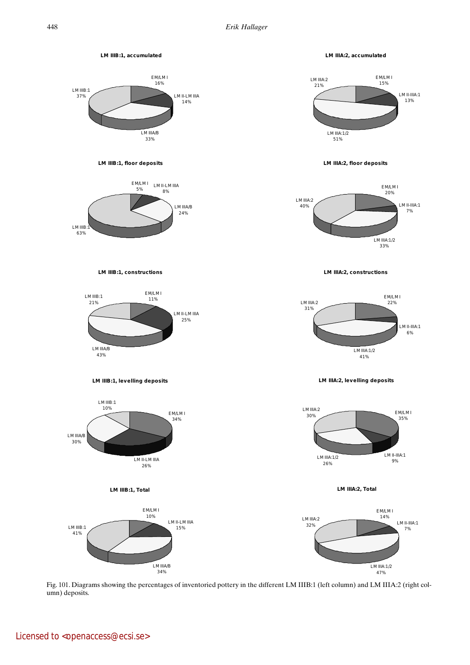

Fig. 101. Diagrams showing the percentages of inventoried pottery in the different LM IIIB:1 (left column) and LM IIIA:2 (right column) deposits.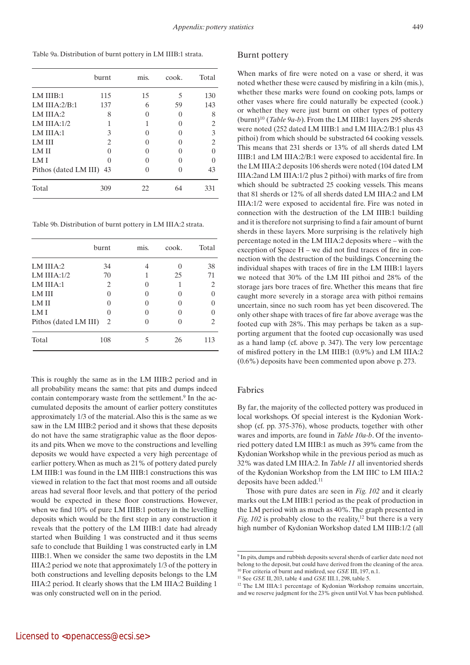Table 9a. Distribution of burnt pottery in LM IIIB:1 strata.

|                       | burnt         | mis. | cook. | Total |
|-----------------------|---------------|------|-------|-------|
| LM IIIB:1             | 115           | 15   | 5     | 130   |
| LM IIIA: $2/B:1$      | 137           | 6    | 59    | 143   |
| LM IIIA: $2$          | 8             |      |       | 8     |
| LM IIIA: $1/2$        | 1             |      |       | 2     |
| LM IIIA:1             | 3             |      |       | 3     |
| <b>LM III</b>         | 2             |      |       | 2     |
| <b>LMII</b>           | $\cup$        |      |       |       |
| LM I                  | $\mathcal{O}$ |      |       |       |
| Pithos (dated LM III) | 43            |      |       | 43    |
| Total                 | 309           | 22   | 64    | 331   |

Table 9b. Distribution of burnt pottery in LM IIIA:2 strata.

|                       | burnt | mis. | cook. | Total    |
|-----------------------|-------|------|-------|----------|
| LM IIIA: $2$          | 34    |      |       | 38       |
| LM IIIA: $1/2$        | 70    |      | 25    | 71       |
| LM IIIA:1             | 2     |      |       | 2        |
| <b>LM III</b>         |       |      |       |          |
| <b>LMII</b>           |       |      |       | $\Omega$ |
| LM I                  |       |      |       |          |
| Pithos (dated LM III) | 2     |      |       | 2        |
| Total                 | 108   |      | 26    | 113      |

This is roughly the same as in the LM IIIB:2 period and in all probability means the same: that pits and dumps indeed contain contemporary waste from the settlement.<sup>9</sup> In the accumulated deposits the amount of earlier pottery constitutes approximately 1/3 of the material. Also this is the same as we saw in the LM IIIB:2 period and it shows that these deposits do not have the same stratigraphic value as the floor deposits and pits. When we move to the constructions and levelling deposits we would have expected a very high percentage of earlier pottery. When as much as 21% of pottery dated purely LM IIIB:1 was found in the LM IIIB:1 constructions this was viewed in relation to the fact that most rooms and all outside areas had several floor levels, and that pottery of the period would be expected in these floor constructions. However, when we find 10% of pure LM IIIB:1 pottery in the levelling deposits which would be the first step in any construction it reveals that the pottery of the LM IIIB:1 date had already started when Building 1 was constructed and it thus seems safe to conclude that Building 1 was constructed early in LM IIIB:1. When we consider the same two depostits in the LM IIIA:2 period we note that approximately 1/3 of the pottery in both constructions and levelling deposits belongs to the LM IIIA:2 period. It clearly shows that the LM IIIA:2 Building 1 was only constructed well on in the period.

#### Burnt pottery

When marks of fire were noted on a vase or sherd, it was noted whether these were caused by misfiring in a kiln (mis.), whether these marks were found on cooking pots, lamps or other vases where fire could naturally be expected (cook.) or whether they were just burnt on other types of pottery  $(burnt)^{10}$  (*Table 9a-b*). From the LM IIIB:1 layers 295 sherds were noted (252 dated LM IIIB:1 and LM IIIA:2/B:1 plus 43 pithoi) from which should be substracted 64 cooking vessels. This means that 231 sherds or 13% of all sherds dated LM IIIB:1 and LM IIIA:2/B:1 were exposed to accidental fire. In the LM IIIA:2 deposits 106 sherds were noted (104 dated LM IIIA:2and LM IIIA:1/2 plus 2 pithoi) with marks of fire from which should be subtracted 25 cooking vessels. This means that 81 sherds or 12% of all sherds dated LM IIIA:2 and LM IIIA:1/2 were exposed to accidental fire. Fire was noted in connection with the destruction of the LM IIIB:1 building and it is therefore not surprising to find a fair amount of burnt sherds in these layers. More surprising is the relatively high percentage noted in the LM IIIA:2 deposits where – with the exception of Space H – we did not find traces of fire in connection with the destruction of the buildings. Concerning the individual shapes with traces of fire in the LM IIIB:1 layers we noteed that 30% of the LM III pithoi and 28% of the storage jars bore traces of fire. Whether this means that fire caught more severely in a storage area with pithoi remains uncertain, since no such room has yet been discovered. The only other shape with traces of fire far above average was the footed cup with 28%. This may perhaps be taken as a supporting argument that the footed cup occasionally was used as a hand lamp (cf. above p. 347). The very low percentage of misfired pottery in the LM IIIB:1 (0.9%) and LM IIIA:2 (0.6%) deposits have been commented upon above p. 273.

#### Fabrics

By far, the majority of the collected pottery was produced in local workshops. Of special interest is the Kydonian Workshop (cf. pp. 375-376), whose products, together with other wares and imports, are found in *Table 10a-b*. Of the inventoried pottery dated LM IIIB:1 as much as 39% came from the Kydonian Workshop while in the previous period as much as 32% was dated LM IIIA:2. In *Table 11* all inventoried sherds of the Kydonian Workshop from the LM IIIC to LM IIIA:2 deposits have been added.<sup>11</sup>

Those with pure dates are seen in *Fig. 102* and it clearly marks out the LM IIIB:1 period as the peak of production in the LM period with as much as 40%. The graph presented in *Fig. 102* is probably close to the reality, $^{12}$  but there is a very high number of Kydonian Workshop dated LM IIIB:1/2 (all

<sup>9</sup> In pits, dumps and rubbish deposits several sherds of earlier date need not belong to the deposit, but could have derived from the cleaning of the area. 10 For criteria of burnt and misfired, see *GSE* III, 197, n.1.

<sup>11</sup> See *GSE* II, 203, table 4 and *GSE* III.1, 298, table 5.

<sup>12</sup> The LM IIIA:1 percentage of Kydonian Workshop remains uncertain, and we reserve judgment for the 23% given until Vol. V has been published.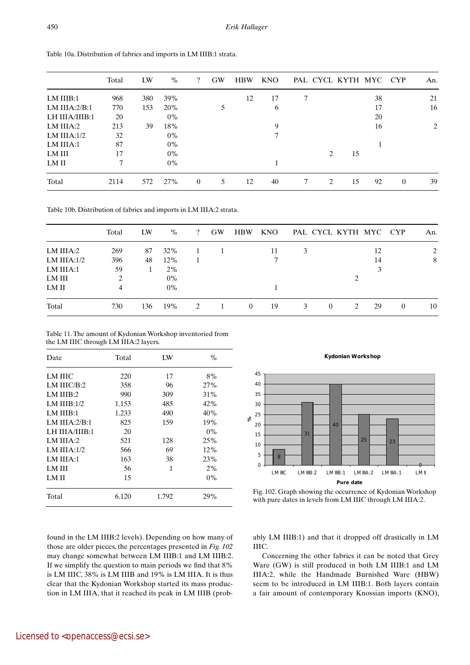|                  | Total | LW  | $\%$  | $\overline{\mathcal{L}}$ | <b>GW</b> | <b>HBW</b> | <b>KNO</b> |   |   | PAL CYCL KYTH MYC CYP |    |                | An. |
|------------------|-------|-----|-------|--------------------------|-----------|------------|------------|---|---|-----------------------|----|----------------|-----|
| LM IIIB:1        | 968   | 380 | 39%   |                          |           | 12         | 17         | ┑ |   |                       | 38 |                | 21  |
| LM IIIA: $2/B:1$ | 770   | 153 | 20%   |                          |           |            | 6          |   |   |                       | 17 |                | 16  |
| LH IIIA/IIIB:1   | 20    |     | $0\%$ |                          |           |            |            |   |   |                       | 20 |                |     |
| LM IIIA:2        | 213   | 39  | 18%   |                          |           |            | 9          |   |   |                       | 16 |                | 2   |
| LM IIIA: $1/2$   | 32    |     | $0\%$ |                          |           |            | 7          |   |   |                       |    |                |     |
| LM IIIA:1        | 87    |     | $0\%$ |                          |           |            |            |   |   |                       |    |                |     |
| LM III           | 17    |     | $0\%$ |                          |           |            |            |   | 2 | 15                    |    |                |     |
| LM II            | 7     |     | $0\%$ |                          |           |            |            |   |   |                       |    |                |     |
| Total            | 2114  | 572 | 27%   | $\overline{0}$           | 5         | 12         | 40         |   | 2 | 15                    | 92 | $\overline{0}$ | 39  |

Table 10a. Distribution of fabrics and imports in LM IIIB:1 strata.

Table 10b. Distribution of fabrics and imports in LM IIIA:2 strata.

|                | Total | LW  | $\%$  | $\mathcal{P}$  | <b>GW</b> | <b>HBW</b> | <b>KNO</b> | PAL CYCL KYTH MYC CYP |          |   |    |          | An.            |
|----------------|-------|-----|-------|----------------|-----------|------------|------------|-----------------------|----------|---|----|----------|----------------|
| LM IIIA:2      | 269   | 87  | 32%   |                |           |            | 11         | 3                     |          |   | 12 |          | $\overline{c}$ |
| LM IIIA: $1/2$ | 396   | 48  | 12%   |                |           |            |            |                       |          |   | 14 |          | 8              |
| LM IIIA:1      | 59    |     | $2\%$ |                |           |            |            |                       |          |   |    |          |                |
| LM III         |       |     | $0\%$ |                |           |            |            |                       |          |   |    |          |                |
| LM II          | 4     |     | $0\%$ |                |           |            |            |                       |          |   |    |          |                |
| Total          | 730   | 136 | 19%   | $\mathfrak{D}$ |           | $\left($   | 19         |                       | $\theta$ | っ | 29 | $\theta$ | 10             |

Table 11. The amount of Kydonian Workshop inventoried from the LM IIIC through LM IIIA:2 layers.

| Date             | Total | I W   | $\frac{0}{0}$ |
|------------------|-------|-------|---------------|
| LM IIIC          | 220   | 17    | 8%            |
| LM IIIC/B:2      | 358   | 96    | 27%           |
| LM IIIB:2        | 990   | 309   | 31%           |
| LM $IIIB:1/2$    | 1.153 | 485   | 42%           |
| LM IIIB:1        | 1.233 | 490   | 40%           |
| LM IIIA: $2/B:1$ | 825   | 159   | 19%           |
| LH IIIA/IIIB:1   | 20    |       | $0\%$         |
| LM IIIA: $2$     | 521   | 128   | 25%           |
| LM IIIA: $1/2$   | 566   | 69    | 12%           |
| LM IIIA:1        | 163   | 38    | 23%           |
| LM III           | 56    | 1     | 2%            |
| <b>LMI</b>       | 15    |       | $0\%$         |
| Total            | 6.120 | 1.792 | 29%           |

**Kydonian Workshop**



Fig. 102. Graph showing the occurrence of Kydonian Workshop with pure dates in levels from LM IIIC through LM IIIA:2.

found in the LM IIIB:2 levels). Depending on how many of those are older pieces, the percentages presented in *Fig. 102* may change somewhat between LM IIIB:1 and LM IIIB:2. If we simplify the question to main periods we find that 8% is LM IIIC, 38% is LM IIIB and 19% is LM IIIA. It is thus clear that the Kydonian Workshop started its mass production in LM IIIA, that it reached its peak in LM IIIB (probably LM IIIB:1) and that it dropped off drastically in LM IIIC.

Concerning the other fabrics it can be noted that Grey Ware (GW) is still produced in both LM IIIB:1 and LM IIIA:2, while the Handmade Burnished Ware (HBW) seem to be introduced in LM IIIB:1. Both layers contain a fair amount of contemporary Knossian imports (KNO),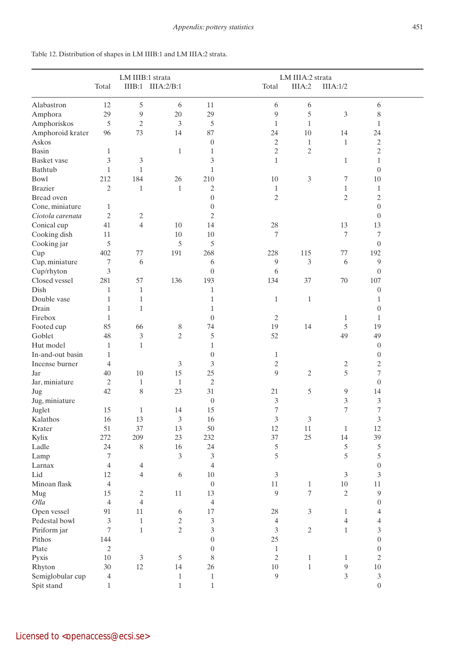|                    | LM IIIB:1 strata |                |                   | LM IIIA:2 strata |                |                |                |                             |  |
|--------------------|------------------|----------------|-------------------|------------------|----------------|----------------|----------------|-----------------------------|--|
|                    | Total            |                | IIIB:1 IIIA:2/B:1 |                  | Total          | IIIA:2         | IIIA:1/2       |                             |  |
| Alabastron         | 12               | $\mathfrak s$  | 6                 | 11               | 6              | 6              |                | 6                           |  |
| Amphora            | 29               | $\overline{9}$ | 20                | 29               | 9              | 5              | 3              | 8                           |  |
| Amphoriskos        | 5                | $\sqrt{2}$     | $\mathfrak{Z}$    | 5                | $\mathbf{1}$   | $\mathbf{1}$   |                | $\mathbf{1}$                |  |
| Amphoroid krater   | 96               | 73             | 14                | 87               | 24             | 10             | 14             | 24                          |  |
| Askos              |                  |                |                   | $\boldsymbol{0}$ | $\sqrt{2}$     | $\mathbf{1}$   | $\mathbf{1}$   | $\mathbf{2}$                |  |
| <b>Basin</b>       | $\mathbf{1}$     |                | $\mathbf{1}$      | $\mathbf{1}$     | $\mathfrak{2}$ | $\overline{c}$ |                | $\mathbf{2}$                |  |
| <b>Basket</b> vase | 3                | 3              |                   | 3                | $\mathbf{1}$   |                | $\mathbf{1}$   | $\mathbf{1}$                |  |
| Bathtub            | $\mathbf{1}$     | $\mathbf{1}$   |                   | $\mathbf{1}$     |                |                |                | $\boldsymbol{0}$            |  |
| <b>Bowl</b>        | 212              | 184            | 26                | 210              | $10\,$         | 3              | $\tau$         | 10                          |  |
| <b>Brazier</b>     | $\overline{c}$   | $\mathbf 1$    | $\mathbf{1}$      | $\mathbf{2}$     | 1              |                | $\mathbf{1}$   | $\mathbf{1}$                |  |
| Bread oven         |                  |                |                   | $\boldsymbol{0}$ | $\mathfrak{2}$ |                | $\mathfrak{2}$ | $\mathbf{2}$                |  |
| Cone, miniature    | $\mathbf 1$      |                |                   | $\boldsymbol{0}$ |                |                |                | $\boldsymbol{0}$            |  |
| Ciotola carenata   | $\mathfrak{2}$   | $\overline{c}$ |                   | $\mathfrak{2}$   |                |                |                | $\boldsymbol{0}$            |  |
| Conical cup        | 41               | $\overline{4}$ | 10                | 14               | 28             |                | 13             | 13                          |  |
| Cooking dish       | 11               |                | 10                | 10               | 7              |                | 7              | 7                           |  |
| Cooking jar        | 5                |                | 5                 | 5                |                |                |                | $\overline{0}$              |  |
| Cup                | 402              | 77             | 191               | 268              | 228            | 115            | 77             | 192                         |  |
| Cup, miniature     | 7                | 6              |                   | 6                | 9              | 3              | 6              | 9                           |  |
| Cup/rhyton         | 3                |                |                   | $\overline{0}$   | 6              |                |                | $\overline{0}$              |  |
| Closed vessel      | 281              | 57             | 136               | 193              | 134            | 37             | 70             | 107                         |  |
|                    |                  |                |                   |                  |                |                |                |                             |  |
| Dish               | $\mathbf{1}$     | $\mathbf{1}$   |                   | $\mathbf{1}$     |                |                |                | $\boldsymbol{0}$            |  |
| Double vase        | 1                | $\mathbf{1}$   |                   | $\mathbf{1}$     | $\mathbf{1}$   | $\mathbf{1}$   |                | 1                           |  |
| Drain              | 1                | $\mathbf{1}$   |                   | 1                |                |                |                | $\boldsymbol{0}$            |  |
| Firebox            | 1                |                |                   | $\mathbf{0}$     | 2              |                | 1              | 1                           |  |
| Footed cup         | 85               | 66             | 8                 | 74               | 19             | 14             | 5              | 19                          |  |
| Goblet             | 48               | 3              | $\mathbf{2}$      | 5                | 52             |                | 49             | 49                          |  |
| Hut model          | $\mathbf{1}$     | $\mathbf{1}$   |                   | $\mathbf{1}$     |                |                |                | $\boldsymbol{0}$            |  |
| In-and-out basin   | $\mathbf{1}$     |                |                   | $\boldsymbol{0}$ | $\mathbf{1}$   |                |                | $\boldsymbol{0}$            |  |
| Incense burner     | 4                |                | 3                 | 3                | $\mathbf{2}$   |                | $\mathbf{2}$   | $\sqrt{2}$                  |  |
| Jar                | 40               | 10             | 15                | 25               | 9              | $\mathfrak{2}$ | 5              | $\tau$                      |  |
| Jar, miniature     | 2                | $\mathbf{1}$   | $\mathbf{1}$      | $\sqrt{2}$       |                |                |                | $\boldsymbol{0}$            |  |
| Jug                | 42               | 8              | 23                | 31               | 21             | 5              | 9              | 14                          |  |
| Jug, miniature     |                  |                |                   | $\boldsymbol{0}$ | 3              |                | 3              | 3                           |  |
| Juglet             | 15               | 1              | 14                | 15               | 7              |                | 7              | $\overline{\mathcal{I}}$    |  |
| Kalathos           | 16               | 13             | 3                 | 16               | 3              | 3              |                | 3                           |  |
| Krater             | 51               | 37             | 13                | 50               | 12             | 11             | $1\,$          | 12                          |  |
| Kylix              | 272              | 209            | 23                | 232              | 37             | 25             | 14             | 39                          |  |
| Ladle              | 24               | $8\,$          | 16                | 24               | 5              |                | 5              | 5                           |  |
| Lamp               | 7                |                | 3                 | 3                | 5              |                | 5              | 5                           |  |
| Larnax             | 4                | 4              |                   | $\overline{4}$   |                |                |                | $\boldsymbol{0}$            |  |
| Lid                | 12               | $\overline{4}$ | 6                 | 10               | $\mathfrak{Z}$ |                | 3              | 3                           |  |
| Minoan flask       | $\overline{4}$   |                |                   | $\boldsymbol{0}$ | $11\,$         | $\mathbf{1}$   | $10\,$         | $11\,$                      |  |
| Mug                | 15               | $\mathbf{2}$   | $11\,$            | 13               | 9              | $\tau$         | $\sqrt{2}$     | $\boldsymbol{9}$            |  |
| Olla               | $\overline{4}$   | $\overline{4}$ |                   | $\overline{4}$   |                |                |                | $\boldsymbol{0}$            |  |
| Open vessel        | 91               | $11\,$         | 6                 | 17               | 28             | $\mathfrak{Z}$ | $\mathbf{1}$   | 4                           |  |
| Pedestal bowl      | 3                | $\,1\,$        | $\overline{c}$    | $\mathfrak 3$    | $\overline{4}$ |                | $\overline{4}$ | $\overline{4}$              |  |
| Piriform jar       | 7                | $\mathbf{1}$   | $\overline{c}$    | 3                | 3              | $\mathbf{2}$   | $1\,$          | 3                           |  |
| Pithos             | 144              |                |                   | $\boldsymbol{0}$ | 25             |                |                | $\boldsymbol{0}$            |  |
| Plate              | $\mathfrak{2}$   |                |                   | $\overline{0}$   | $\,1\,$        |                |                | $\boldsymbol{0}$            |  |
| Pyxis              | 10               | 3              | $\mathfrak s$     | 8                | $\sqrt{2}$     | $\mathbf{1}$   | $\mathbf{1}$   | $\sqrt{2}$                  |  |
| Rhyton             | 30               | 12             | 14                | 26               | $10\,$         | $\mathbf{1}$   | 9              | $10\,$                      |  |
| Semiglobular cup   | 4                |                | $\mathbf{1}$      | $\mathbf{1}$     | 9              |                | 3              | $\ensuremath{\mathfrak{Z}}$ |  |
| Spit stand         | $\mathbf{1}$     |                | $\mathbf{1}$      | $\mathbf{1}$     |                |                |                | $\boldsymbol{0}$            |  |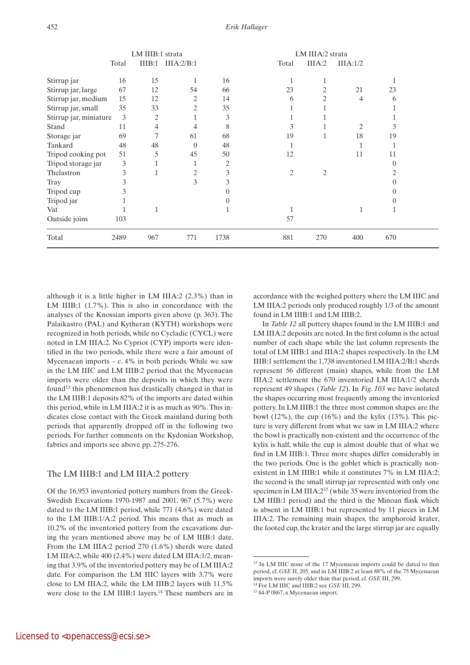|                        | LM IIIB:1 strata |                |                |          | LM IIIA:2 strata |                |                |          |  |
|------------------------|------------------|----------------|----------------|----------|------------------|----------------|----------------|----------|--|
|                        | Total            | IIIB:1         | IIIA:2/B:1     |          | Total            | IIIA:2         | IIIA:1/2       |          |  |
| Stirrup jar            | 16               | 15             | $\mathbf{1}$   | 16       |                  | 1              |                |          |  |
| Stirrup jar, large     | 67               | 12             | 54             | 66       | 23               | 2              | 21             | 23       |  |
| Stirrup jar, medium    | 15               | 12             | 2              | 14       | 6                | $\overline{2}$ | 4              | 6        |  |
| Stirrup jar, small     | 35               | 33             | 2              | 35       |                  |                |                |          |  |
| Stirrup jar, miniature | $\overline{3}$   | $\overline{c}$ |                | 3        |                  |                |                |          |  |
| Stand                  | 11               | 4              | 4              | 8        | 3                |                | $\mathfrak{2}$ | 3        |  |
| Storage jar            | 69               | 7              | 61             | 68       | 19               | 1              | 18             | 19       |  |
| Tankard                | 48               | 48             | $\theta$       | 48       |                  |                |                |          |  |
| Tripod cooking pot     | 51               | 5              | 45             | 50       | 12               |                | 11             | 11       |  |
| Tripod storage jar     | 3                |                | 1              | 2        |                  |                |                | $\Omega$ |  |
| Thelastron             | 3                |                | $\overline{2}$ | 3        | $\overline{c}$   | $\overline{c}$ |                | 2        |  |
| Tray                   | 3                |                | 3              | 3        |                  |                |                |          |  |
| Tripod cup             | 3                |                |                |          |                  |                |                |          |  |
| Tripod jar             |                  |                |                | $\Omega$ |                  |                |                |          |  |
| Vat                    |                  |                |                |          |                  |                | 1              |          |  |
| Outside joins          | 103              |                |                |          | 57               |                |                |          |  |
| Total                  | 2489             | 967            | 771            | 1738     | 881              | 270            | 400            | 670      |  |

although it is a little higher in LM IIIA:2 (2.3%) than in LM IIIB:1 (1.7%). This is also in concordance with the analyses of the Knossian imports given above (p. 363). The Palaikastro (PAL) and Kytheran (KYTH) workshops were recognized in both periods, while no Cycladic (CYCL) were noted in LM IIIA:2. No Cypriot (CYP) imports were identified in the two periods, while there were a fair amount of Mycenaean imports  $-c$ . 4% in both periods. While we saw in the LM IIIC and LM IIIB:2 period that the Mycenaean imports were older than the deposits in which they were found<sup>13</sup> this phenomenon has drastically changed in that in the LM IIIB:1 deposits 82% of the imports are dated within this period, while in LM IIIA:2 it is as much as 90%. This indicates close contact with the Greek mainland during both periods that apparently dropped off in the following two periods. For further comments on the Kydonian Workshop, fabrics and imports see above pp. 275-276.

#### The LM IIIB:1 and LM IIIA:2 pottery

Of the 16,953 inventoried pottery numbers from the Greek-Swedish Excavations 1970-1987 and 2001, 967 (5.7%) were dated to the LM IIIB:1 period, while 771 (4.6%) were dated to the LM IIIB:1/A:2 period. This means that as much as 10.2% of the inventoried pottery from the excavations during the years mentioned above may be of LM IIIB:1 date. From the LM IIIA:2 period 270 (1.6%) sherds were dated LM IIIA:2, while 400 (2.4%) were dated LM IIIA:1/2, meaning that 3.9% of the inventoried pottery may be of LM IIIA:2 date. For comparison the LM IIIC layers with 3.7% were close to LM IIIA:2, while the LM IIIB:2 layers with 11.5% were close to the LM IIIB:1 layers.14 These numbers are in accordance with the weighed pottery where the LM IIIC and LM IIIA:2 periods only produced roughly 1/3 of the amount found in LM IIIB:1 and LM IIIB:2.

In *Table 12* all pottery shapes found in the LM IIIB:1 and LM IIIA:2 deposits are noted. In the first column is the actual number of each shape while the last column represents the total of LM IIIB:1 and IIIA:2 shapes respectively. In the LM IIIB:1 settlement the 1,738 inventoried LM IIIA:2/B:1 sherds represent 56 different (main) shapes, while from the LM IIIA:2 settlement the 670 inventoried LM IIIA:1/2 sherds represent 49 shapes (*Table 12*). In *Fig. 103* we have isolated the shapes occurring most frequently among the inventoried pottery. In LM IIIB:1 the three most common shapes are the bowl  $(12\%)$ , the cup  $(16\%)$  and the kylix  $(13\%)$ . This picture is very different from what we saw in LM IIIA:2 where the bowl is practically non-existent and the occurrence of the kylix is half, while the cup is almost double that of what we find in LM IIIB:1. Three more shapes differ considerably in the two periods. One is the goblet which is practically nonexistent in LM IIIB:1 while it constitutes 7% in LM IIIA:2; the second is the small stirrup jar represented with only one specimen in LM IIIA:215 (while 35 were inventoried from the LM IIIB:1 period) and the third is the Minoan flask which is absent in LM IIIB:1 but represented by 11 pieces in LM IIIA:2. The remaining main shapes, the amphoroid krater, the footed cup, the krater and the large stirrup jar are equally

<sup>&</sup>lt;sup>13</sup> In LM IIIC none of the 17 Mycenaean imports could be dated to that period, cf. *GSE* II, 205, and in LM IIIB:2 at least 88% of the 75 Mycenaean imports were surely older than that period, cf. *GSE* III, 299.

<sup>14</sup> For LM IIIC and IIIB:2 see *GSE* III, 299.

<sup>15 84-</sup>P 0867, a Mycenaean import.